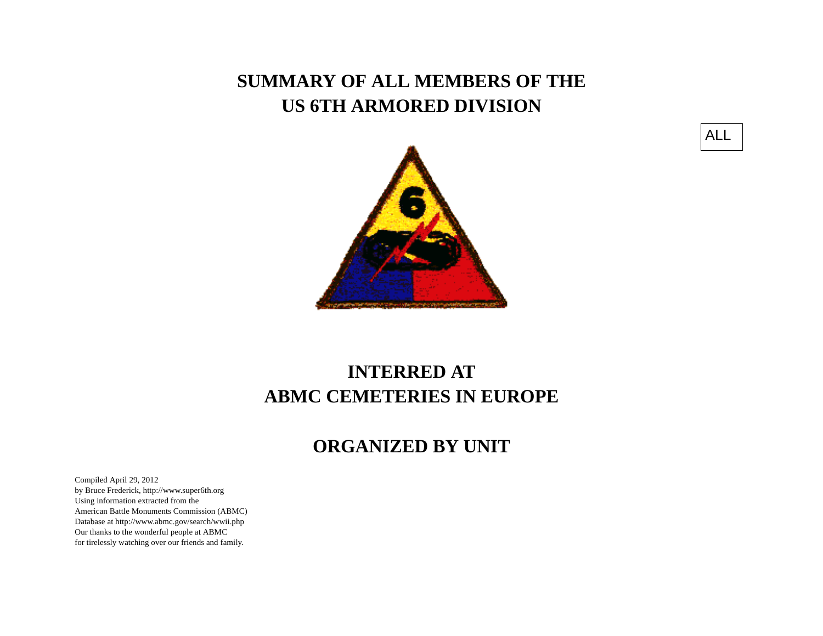## **SUMMARY OF ALL MEMBERS OF THE US 6TH ARMORED DIVISION**





## **INTERRED ATABMC CEMETERIES IN EUROPE**

## **ORGANIZED BY UNIT**

Compiled April 29, 2012 by Bruce Frederick, http://www.super6th.orgUsing information extracted from the American Battle Monuments Commission (ABMC) Database at http://www.abmc.gov/search/wwii.phpOur thanks to the wonderful people at ABMC for tirelessly watching over our friends and family.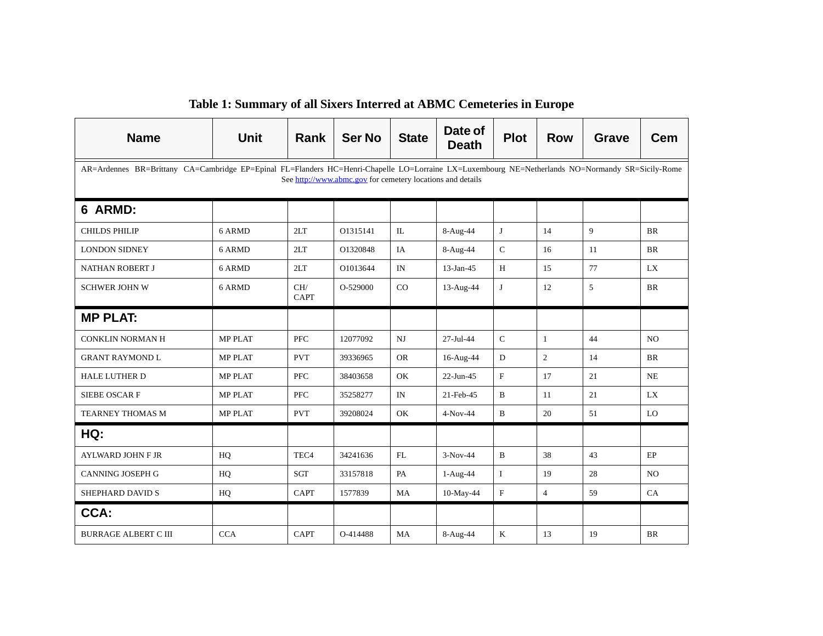| <b>Name</b>                 | <b>Unit</b>                                                                                                                                                                                                    | <b>Rank</b>        | <b>Ser No</b> | <b>State</b> | Date of<br><b>Death</b> | <b>Plot</b>  | <b>Row</b>     | <b>Grave</b> | <b>Cem</b>     |  |  |  |
|-----------------------------|----------------------------------------------------------------------------------------------------------------------------------------------------------------------------------------------------------------|--------------------|---------------|--------------|-------------------------|--------------|----------------|--------------|----------------|--|--|--|
|                             | AR=Ardennes BR=Brittany CA=Cambridge EP=Epinal FL=Flanders HC=Henri-Chapelle LO=Lorraine LX=Luxembourg NE=Netherlands NO=Normandy SR=Sicily-Rome<br>See http://www.abmc.gov for cemetery locations and details |                    |               |              |                         |              |                |              |                |  |  |  |
| 6 ARMD:                     |                                                                                                                                                                                                                |                    |               |              |                         |              |                |              |                |  |  |  |
| <b>CHILDS PHILIP</b>        | 6 ARMD                                                                                                                                                                                                         | 2LT                | O1315141      | IL           | 8-Aug-44                | J            | 14             | 9            | <b>BR</b>      |  |  |  |
| <b>LONDON SIDNEY</b>        | 6 ARMD                                                                                                                                                                                                         | 2LT                | O1320848      | IA           | 8-Aug-44                | $\mathsf{C}$ | 16             | 11           | <b>BR</b>      |  |  |  |
| NATHAN ROBERT J             | 6 ARMD                                                                                                                                                                                                         | 2LT                | O1013644      | IN           | $13$ -Jan-45            | H            | 15             | 77           | LX             |  |  |  |
| <b>SCHWER JOHN W</b>        | 6 ARMD                                                                                                                                                                                                         | CH/<br><b>CAPT</b> | O-529000      | CO           | 13-Aug-44               | J            | 12             | 5            | <b>BR</b>      |  |  |  |
| <b>MP PLAT:</b>             |                                                                                                                                                                                                                |                    |               |              |                         |              |                |              |                |  |  |  |
| <b>CONKLIN NORMAN H</b>     | <b>MP PLAT</b>                                                                                                                                                                                                 | <b>PFC</b>         | 12077092      | <b>NJ</b>    | 27-Jul-44               | $\mathsf{C}$ | $\mathbf{1}$   | 44           | N <sub>O</sub> |  |  |  |
| <b>GRANT RAYMOND L</b>      | <b>MP PLAT</b>                                                                                                                                                                                                 | <b>PVT</b>         | 39336965      | <b>OR</b>    | 16-Aug-44               | $\mathbf D$  | $\overline{c}$ | 14           | BR             |  |  |  |
| <b>HALE LUTHER D</b>        | <b>MP PLAT</b>                                                                                                                                                                                                 | <b>PFC</b>         | 38403658      | OK           | 22-Jun-45               | $\mathbf{F}$ | 17             | 21           | NE             |  |  |  |
| <b>SIEBE OSCAR F</b>        | <b>MP PLAT</b>                                                                                                                                                                                                 | <b>PFC</b>         | 35258277      | IN           | 21-Feb-45               | B            | 11             | 21           | LX             |  |  |  |
| TEARNEY THOMAS M            | <b>MP PLAT</b>                                                                                                                                                                                                 | <b>PVT</b>         | 39208024      | OK           | $4-Nov-44$              | $\bf{B}$     | 20             | 51           | LO             |  |  |  |
| HG:                         |                                                                                                                                                                                                                |                    |               |              |                         |              |                |              |                |  |  |  |
| <b>AYLWARD JOHN F JR</b>    | HQ                                                                                                                                                                                                             | TEC <sub>4</sub>   | 34241636      | FL           | $3-Nov-44$              | B            | 38             | 43           | EP             |  |  |  |
| <b>CANNING JOSEPH G</b>     | HQ                                                                                                                                                                                                             | <b>SGT</b>         | 33157818      | PA           | $1-Aug-44$              | $\mathbf I$  | 19             | 28           | N <sub>O</sub> |  |  |  |
| SHEPHARD DAVID S            | HQ                                                                                                                                                                                                             | <b>CAPT</b>        | 1577839       | <b>MA</b>    | 10-May-44               | F            | $\overline{4}$ | 59           | CA             |  |  |  |
| CCA:                        |                                                                                                                                                                                                                |                    |               |              |                         |              |                |              |                |  |  |  |
| <b>BURRAGE ALBERT C III</b> | <b>CCA</b>                                                                                                                                                                                                     | <b>CAPT</b>        | O-414488      | MA           | 8-Aug-44                | $\rm K$      | 13             | 19           | <b>BR</b>      |  |  |  |

## **Table 1: Summary of all Sixers Interred at ABMC Cemeteries in Europe**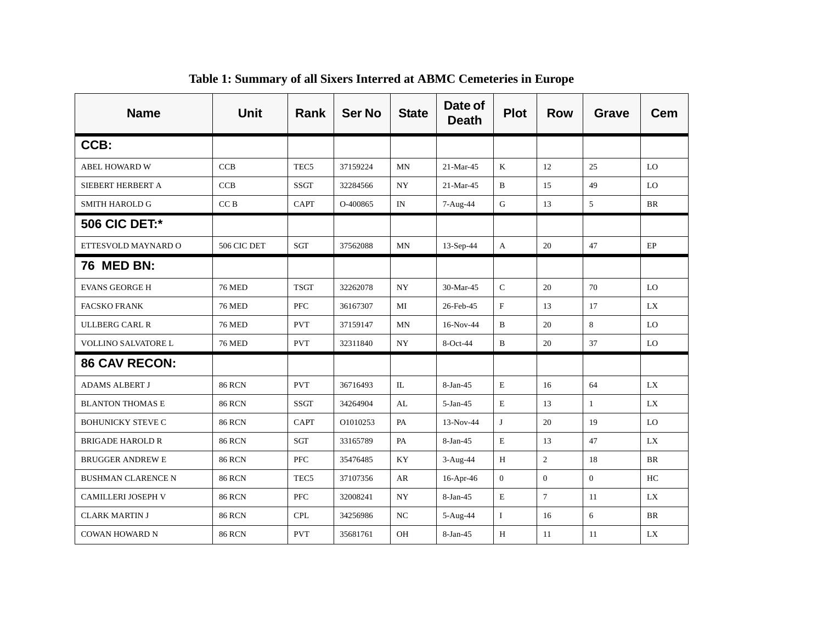| <b>Name</b>                | <b>Unit</b>     | Rank             | <b>Ser No</b> | <b>State</b> | Date of<br><b>Death</b> | <b>Plot</b>    | <b>Row</b>     | <b>Grave</b> | Cem       |
|----------------------------|-----------------|------------------|---------------|--------------|-------------------------|----------------|----------------|--------------|-----------|
| CCB:                       |                 |                  |               |              |                         |                |                |              |           |
| <b>ABEL HOWARD W</b>       | <b>CCB</b>      | TEC <sub>5</sub> | 37159224      | MN           | 21-Mar-45               | K              | 12             | 25           | LO        |
| SIEBERT HERBERT A          | <b>CCB</b>      | <b>SSGT</b>      | 32284566      | NY.          | 21-Mar-45               | $\mathbf B$    | 15             | 49           | LO        |
| <b>SMITH HAROLD G</b>      | CC <sub>B</sub> | <b>CAPT</b>      | O-400865      | IN           | 7-Aug-44                | ${\bf G}$      | 13             | 5            | BR        |
| <b>506 CIC DET:*</b>       |                 |                  |               |              |                         |                |                |              |           |
| ETTESVOLD MAYNARD O        | 506 CIC DET     | SGT              | 37562088      | MN           | 13-Sep-44               | $\mathbf{A}$   | 20             | 47           | EP        |
| <b>76 MED BN:</b>          |                 |                  |               |              |                         |                |                |              |           |
| <b>EVANS GEORGE H</b>      | <b>76 MED</b>   | <b>TSGT</b>      | 32262078      | NY           | 30-Mar-45               | ${\bf C}$      | 20             | 70           | LO        |
| <b>FACSKO FRANK</b>        | <b>76 MED</b>   | <b>PFC</b>       | 36167307      | MI           | 26-Feb-45               | $\mathbf{F}$   | 13             | 17           | LX        |
| <b>ULLBERG CARL R</b>      | <b>76 MED</b>   | <b>PVT</b>       | 37159147      | <b>MN</b>    | 16-Nov-44               | $\mathbf B$    | 20             | 8            | LO        |
| <b>VOLLINO SALVATORE L</b> | <b>76 MED</b>   | <b>PVT</b>       | 32311840      | NY.          | 8-Oct-44                | $\mathbf B$    | 20             | 37           | LO        |
| <b>86 CAV RECON:</b>       |                 |                  |               |              |                         |                |                |              |           |
| <b>ADAMS ALBERT J</b>      | <b>86 RCN</b>   | <b>PVT</b>       | 36716493      | $\mathbb{L}$ | $8-Jan-45$              | E              | 16             | 64           | LX        |
| <b>BLANTON THOMAS E</b>    | <b>86 RCN</b>   | <b>SSGT</b>      | 34264904      | AL           | $5-Jan-45$              | E              | 13             | $\mathbf{1}$ | LX        |
| <b>BOHUNICKY STEVE C</b>   | <b>86 RCN</b>   | CAPT             | O1010253      | PA           | 13-Nov-44               | J              | 20             | 19           | LO        |
| <b>BRIGADE HAROLD R</b>    | <b>86 RCN</b>   | SGT              | 33165789      | PA           | $8-Jan-45$              | E              | 13             | 47           | LX        |
| <b>BRUGGER ANDREW E</b>    | <b>86 RCN</b>   | <b>PFC</b>       | 35476485      | KY           | $3-Aug-44$              | H              | $\overline{c}$ | 18           | <b>BR</b> |
| <b>BUSHMAN CLARENCE N</b>  | <b>86 RCN</b>   | TEC <sub>5</sub> | 37107356      | AR           | 16-Apr-46               | $\overline{0}$ | $\overline{0}$ | $\Omega$     | HC        |
| CAMILLERI JOSEPH V         | <b>86 RCN</b>   | PFC              | 32008241      | NY           | $8-Jan-45$              | $\mathbf E$    | $\overline{7}$ | 11           | LX        |
| <b>CLARK MARTIN J</b>      | <b>86 RCN</b>   | <b>CPL</b>       | 34256986      | NC           | 5-Aug-44                | $\bf{I}$       | 16             | 6            | BR        |
| <b>COWAN HOWARD N</b>      | <b>86 RCN</b>   | <b>PVT</b>       | 35681761      | OH           | $8-Jan-45$              | H              | 11             | 11           | LX        |

**Table 1: Summary of all Sixers Interred at ABMC Cemeteries in Europe**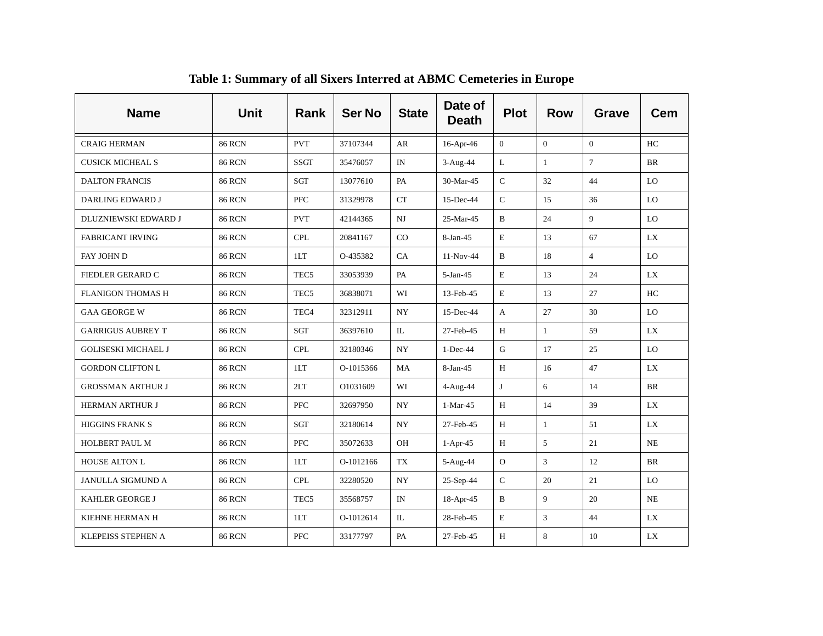| <b>Name</b>                | <b>Unit</b>   | <b>Rank</b>      | <b>Ser No</b> | <b>State</b>     | Date of<br><b>Death</b> | <b>Plot</b>    | <b>Row</b>   | <b>Grave</b>   | <b>Cem</b> |
|----------------------------|---------------|------------------|---------------|------------------|-------------------------|----------------|--------------|----------------|------------|
| <b>CRAIG HERMAN</b>        | <b>86 RCN</b> | <b>PVT</b>       | 37107344      | AR               | $16$ -Apr-46            | $\overline{0}$ | $\Omega$     | $\Omega$       | HC         |
| <b>CUSICK MICHEAL S</b>    | <b>86 RCN</b> | <b>SSGT</b>      | 35476057      | IN               | 3-Aug-44                | $\bf L$        | $\mathbf{1}$ | $\overline{7}$ | <b>BR</b>  |
| <b>DALTON FRANCIS</b>      | <b>86 RCN</b> | SGT              | 13077610      | PA               | 30-Mar-45               | $\mathbf C$    | 32           | 44             | LO         |
| <b>DARLING EDWARD J</b>    | <b>86 RCN</b> | <b>PFC</b>       | 31329978      | CT               | $15$ -Dec-44            | $\mathsf{C}$   | 15           | 36             | LO         |
| DLUZNIEWSKI EDWARD J       | <b>86 RCN</b> | <b>PVT</b>       | 42144365      | $_{\rm NJ}$      | 25-Mar-45               | $\, {\bf B}$   | 24           | 9              | LO         |
| <b>FABRICANT IRVING</b>    | <b>86 RCN</b> | <b>CPL</b>       | 20841167      | CO               | $8-Jan-45$              | $\mathbf E$    | 13           | 67             | LX         |
| <b>FAY JOHN D</b>          | <b>86 RCN</b> | 1LT              | O-435382      | CA               | 11-Nov-44               | $\, {\bf B}$   | 18           | $\overline{4}$ | LO         |
| FIEDLER GERARD C           | <b>86 RCN</b> | TEC <sub>5</sub> | 33053939      | PA               | $5-Jan-45$              | $\mathbf E$    | 13           | 24             | LX         |
| <b>FLANIGON THOMAS H</b>   | <b>86 RCN</b> | TEC <sub>5</sub> | 36838071      | WI               | 13-Feb-45               | E              | 13           | 27             | HC         |
| <b>GAA GEORGE W</b>        | <b>86 RCN</b> | TEC <sub>4</sub> | 32312911      | <b>NY</b>        | $15$ -Dec-44            | A              | 27           | 30             | LO         |
| <b>GARRIGUS AUBREY T</b>   | <b>86 RCN</b> | SGT              | 36397610      | IL               | 27-Feb-45               | H              | $\mathbf{1}$ | 59             | LX         |
| <b>GOLISESKI MICHAEL J</b> | <b>86 RCN</b> | <b>CPL</b>       | 32180346      | NY.              | $1-Dec-44$              | G              | 17           | 25             | LO         |
| <b>GORDON CLIFTON L</b>    | <b>86 RCN</b> | 1LT              | O-1015366     | MA               | 8-Jan-45                | Н              | 16           | 47             | LX         |
| <b>GROSSMAN ARTHUR J</b>   | <b>86 RCN</b> | 2LT              | O1031609      | WI               | 4-Aug-44                | J              | 6            | 14             | BR         |
| <b>HERMAN ARTHUR J</b>     | <b>86 RCN</b> | <b>PFC</b>       | 32697950      | <b>NY</b>        | $1-Mar-45$              | H              | 14           | 39             | LX         |
| <b>HIGGINS FRANK S</b>     | <b>86 RCN</b> | SGT              | 32180614      | $_{\mathrm{NY}}$ | 27-Feb-45               | H              | $\mathbf{1}$ | 51             | <b>LX</b>  |
| <b>HOLBERT PAUL M</b>      | <b>86 RCN</b> | <b>PFC</b>       | 35072633      | <b>OH</b>        | $1-Apr-45$              | H              | 5            | 21             | NE         |
| <b>HOUSE ALTON L</b>       | <b>86 RCN</b> | 1LT              | O-1012166     | TX               | 5-Aug-44                | $\mathbf{O}$   | 3            | 12             | BR         |
| <b>JANULLA SIGMUND A</b>   | <b>86 RCN</b> | <b>CPL</b>       | 32280520      | <b>NY</b>        | 25-Sep-44               | $\mathsf C$    | 20           | 21             | LO         |
| KAHLER GEORGE J            | <b>86 RCN</b> | TEC <sub>5</sub> | 35568757      | IN               | 18-Apr-45               | B              | 9            | 20             | <b>NE</b>  |
| KIEHNE HERMAN H            | <b>86 RCN</b> | 1LT              | O-1012614     | IL               | 28-Feb-45               | $\mathbf E$    | 3            | 44             | <b>LX</b>  |
| KLEPEISS STEPHEN A         | <b>86 RCN</b> | <b>PFC</b>       | 33177797      | PA               | 27-Feb-45               | H              | 8            | 10             | LX         |

**Table 1: Summary of all Sixers Interred at ABMC Cemeteries in Europe**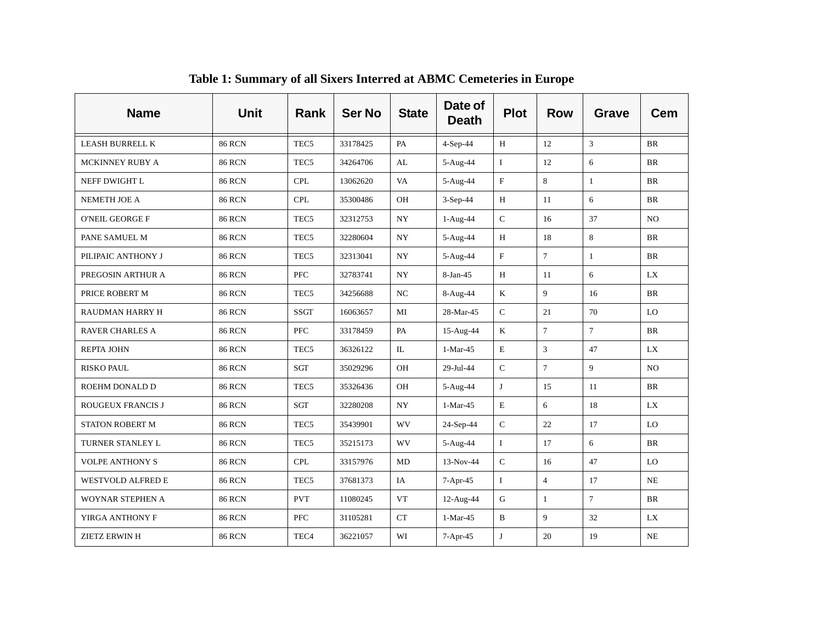| <b>Name</b>            | <b>Unit</b>   | <b>Rank</b>      | <b>Ser No</b> | <b>State</b> | Date of<br><b>Death</b> | <b>Plot</b>  | <b>Row</b>     | <b>Grave</b>   | <b>Cem</b>     |
|------------------------|---------------|------------------|---------------|--------------|-------------------------|--------------|----------------|----------------|----------------|
| <b>LEASH BURRELL K</b> | <b>86 RCN</b> | TEC <sub>5</sub> | 33178425      | PA           | 4-Sep-44                | H            | 12             | 3              | <b>BR</b>      |
| MCKINNEY RUBY A        | <b>86 RCN</b> | TEC <sub>5</sub> | 34264706      | AL           | 5-Aug-44                | $\bf{I}$     | 12             | 6              | <b>BR</b>      |
| NEFF DWIGHT L          | <b>86 RCN</b> | <b>CPL</b>       | 13062620      | VA           | 5-Aug-44                | $\mathbf{F}$ | 8              | 1              | <b>BR</b>      |
| NEMETH JOE A           | <b>86 RCN</b> | <b>CPL</b>       | 35300486      | <b>OH</b>    | $3-Sep-44$              | H            | 11             | 6              | <b>BR</b>      |
| <b>O'NEIL GEORGE F</b> | <b>86 RCN</b> | TEC <sub>5</sub> | 32312753      | <b>NY</b>    | $1-Aug-44$              | $\mathsf C$  | 16             | 37             | N <sub>O</sub> |
| PANE SAMUEL M          | <b>86 RCN</b> | TEC <sub>5</sub> | 32280604      | <b>NY</b>    | 5-Aug-44                | H            | 18             | 8              | <b>BR</b>      |
| PILIPAIC ANTHONY J     | <b>86 RCN</b> | TEC <sub>5</sub> | 32313041      | <b>NY</b>    | 5-Aug-44                | $\mathbf F$  | $\overline{7}$ | $\mathbf{1}$   | <b>BR</b>      |
| PREGOSIN ARTHUR A      | <b>86 RCN</b> | <b>PFC</b>       | 32783741      | <b>NY</b>    | $8-Jan-45$              | H            | 11             | 6              | <b>LX</b>      |
| PRICE ROBERT M         | <b>86 RCN</b> | TEC <sub>5</sub> | 34256688      | NC           | 8-Aug-44                | K            | 9              | 16             | <b>BR</b>      |
| <b>RAUDMAN HARRY H</b> | <b>86 RCN</b> | <b>SSGT</b>      | 16063657      | MI           | 28-Mar-45               | $\mathsf C$  | 21             | 70             | LO             |
| <b>RAVER CHARLES A</b> | <b>86 RCN</b> | <b>PFC</b>       | 33178459      | PA           | 15-Aug-44               | K            | $\tau$         | $\overline{7}$ | <b>BR</b>      |
| <b>REPTA JOHN</b>      | <b>86 RCN</b> | TEC <sub>5</sub> | 36326122      | $\rm IL$     | $1-Mar-45$              | $\mathbf E$  | 3              | 47             | LX             |
| <b>RISKO PAUL</b>      | <b>86 RCN</b> | SGT              | 35029296      | OH           | 29-Jul-44               | ${\bf C}$    | $\tau$         | 9              | NO             |
| ROEHM DONALD D         | <b>86 RCN</b> | TEC <sub>5</sub> | 35326436      | OH           | 5-Aug-44                | J            | 15             | 11             | <b>BR</b>      |
| ROUGEUX FRANCIS J      | <b>86 RCN</b> | SGT              | 32280208      | <b>NY</b>    | $1-Mar-45$              | $\mathbf E$  | 6              | 18             | <b>LX</b>      |
| <b>STATON ROBERT M</b> | <b>86 RCN</b> | TEC <sub>5</sub> | 35439901      | WV           | 24-Sep-44               | $\mathsf C$  | 22             | 17             | LO             |
| TURNER STANLEY L       | <b>86 RCN</b> | TEC <sub>5</sub> | 35215173      | WV           | 5-Aug-44                | $\mathbf I$  | 17             | 6              | BR             |
| <b>VOLPE ANTHONY S</b> | <b>86 RCN</b> | <b>CPL</b>       | 33157976      | MD           | 13-Nov-44               | $\mathsf C$  | 16             | 47             | LO             |
| WESTVOLD ALFRED E      | <b>86 RCN</b> | TEC <sub>5</sub> | 37681373      | IA           | 7-Apr-45                | $\bf{I}$     | $\overline{4}$ | 17             | <b>NE</b>      |
| WOYNAR STEPHEN A       | <b>86 RCN</b> | <b>PVT</b>       | 11080245      | <b>VT</b>    | 12-Aug-44               | G            | 1              | $\overline{7}$ | <b>BR</b>      |
| YIRGA ANTHONY F        | <b>86 RCN</b> | <b>PFC</b>       | 31105281      | CT           | $1-Mar-45$              | $\, {\bf B}$ | 9              | 32             | LX             |
| <b>ZIETZ ERWIN H</b>   | <b>86 RCN</b> | TEC <sub>4</sub> | 36221057      | WI           | $7-Apr-45$              | J            | 20             | 19             | NE             |

**Table 1: Summary of all Sixers Interred at ABMC Cemeteries in Europe**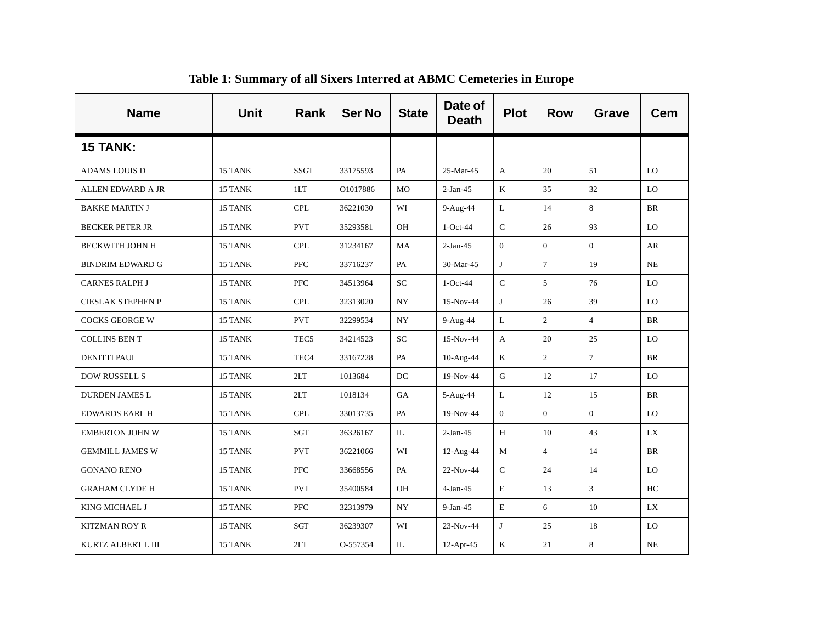| <b>Name</b>              | <b>Unit</b> | Rank             | <b>Ser No</b> | <b>State</b> | Date of<br><b>Death</b> | <b>Plot</b>    | <b>Row</b>     | Grave          | Cem        |
|--------------------------|-------------|------------------|---------------|--------------|-------------------------|----------------|----------------|----------------|------------|
| <b>15 TANK:</b>          |             |                  |               |              |                         |                |                |                |            |
| <b>ADAMS LOUIS D</b>     | 15 TANK     | <b>SSGT</b>      | 33175593      | PA           | 25-Mar-45               | A              | 20             | 51             | LO         |
| ALLEN EDWARD A JR        | 15 TANK     | 1LT              | O1017886      | <b>MO</b>    | $2-Jan-45$              | $\bf K$        | 35             | 32             | LO         |
| <b>BAKKE MARTIN J</b>    | 15 TANK     | <b>CPL</b>       | 36221030      | WI           | 9-Aug-44                | $\mathbf L$    | 14             | 8              | <b>BR</b>  |
| <b>BECKER PETER JR</b>   | 15 TANK     | <b>PVT</b>       | 35293581      | OH           | $1-Oct-44$              | ${\bf C}$      | 26             | 93             | LO         |
| <b>BECKWITH JOHN H</b>   | 15 TANK     | <b>CPL</b>       | 31234167      | MA           | $2-Jan-45$              | $\mathbf{0}$   | $\overline{0}$ | $\overline{0}$ | AR         |
| <b>BINDRIM EDWARD G</b>  | 15 TANK     | PFC              | 33716237      | PA           | 30-Mar-45               | J              | $\overline{7}$ | 19             | NE         |
| <b>CARNES RALPH J</b>    | 15 TANK     | <b>PFC</b>       | 34513964      | SC           | $1-Oct-44$              | $\mathsf C$    | 5              | 76             | LO         |
| <b>CIESLAK STEPHEN P</b> | 15 TANK     | <b>CPL</b>       | 32313020      | <b>NY</b>    | 15-Nov-44               | J              | 26             | 39             | LO         |
| <b>COCKS GEORGE W</b>    | 15 TANK     | <b>PVT</b>       | 32299534      | <b>NY</b>    | 9-Aug-44                | L              | $\overline{2}$ | $\overline{4}$ | BR         |
| <b>COLLINS BEN T</b>     | 15 TANK     | TEC <sub>5</sub> | 34214523      | ${\rm SC}$   | 15-Nov-44               | $\mathbf{A}$   | 20             | 25             | ${\rm LO}$ |
| <b>DENITTI PAUL</b>      | 15 TANK     | TEC <sub>4</sub> | 33167228      | PA           | 10-Aug-44               | $\bf K$        | $\overline{2}$ | $\overline{7}$ | <b>BR</b>  |
| DOW RUSSELL S            | 15 TANK     | 2LT              | 1013684       | DC           | 19-Nov-44               | ${\bf G}$      | 12             | 17             | LO         |
| <b>DURDEN JAMES L</b>    | 15 TANK     | 2LT              | 1018134       | GA           | 5-Aug-44                | $\bf L$        | 12             | 15             | <b>BR</b>  |
| <b>EDWARDS EARL H</b>    | 15 TANK     | <b>CPL</b>       | 33013735      | PA           | 19-Nov-44               | $\overline{0}$ | $\overline{0}$ | $\Omega$       | LO         |
| <b>EMBERTON JOHN W</b>   | 15 TANK     | SGT              | 36326167      | IL           | $2-Jan-45$              | Н              | 10             | 43             | LX         |
| <b>GEMMILL JAMES W</b>   | 15 TANK     | <b>PVT</b>       | 36221066      | WI           | 12-Aug-44               | M              | $\overline{4}$ | 14             | <b>BR</b>  |
| <b>GONANO RENO</b>       | 15 TANK     | <b>PFC</b>       | 33668556      | PA           | 22-Nov-44               | $\mathsf C$    | 24             | 14             | LO         |
| <b>GRAHAM CLYDE H</b>    | 15 TANK     | <b>PVT</b>       | 35400584      | OH           | $4-Jan-45$              | $\mathbf E$    | 13             | 3              | HC         |
| KING MICHAEL J           | 15 TANK     | <b>PFC</b>       | 32313979      | NY           | $9-Jan-45$              | $\mathbf E$    | 6              | 10             | LX         |
| <b>KITZMAN ROY R</b>     | 15 TANK     | SGT              | 36239307      | WI           | 23-Nov-44               | J              | 25             | 18             | LO         |
| KURTZ ALBERT L III       | 15 TANK     | 2LT              | O-557354      | IL           | 12-Apr-45               | K              | 21             | 8              | NE         |

**Table 1: Summary of all Sixers Interred at ABMC Cemeteries in Europe**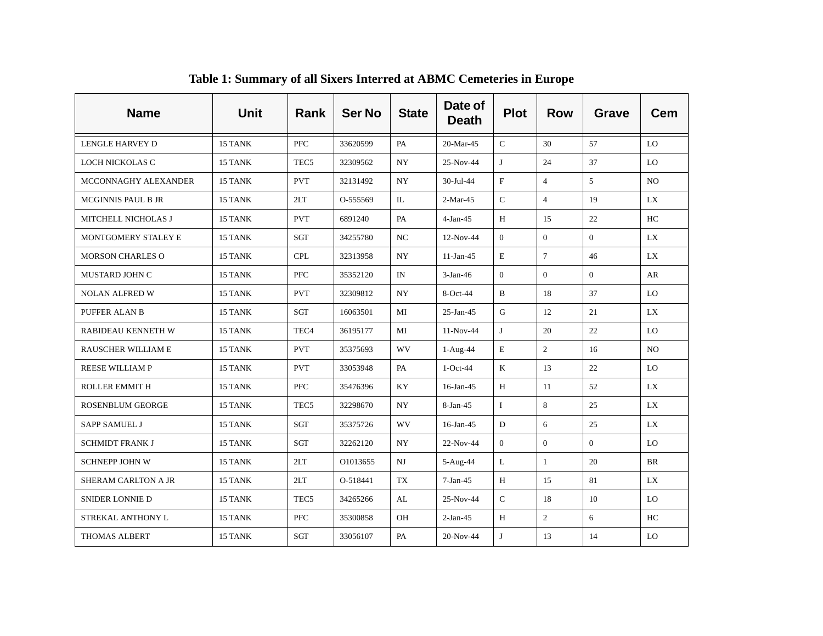| <b>Name</b>               | <b>Unit</b> | <b>Rank</b>      | <b>Ser No</b> | <b>State</b>     | Date of<br><b>Death</b> | <b>Plot</b>    | <b>Row</b>     | <b>Grave</b> | <b>Cem</b> |
|---------------------------|-------------|------------------|---------------|------------------|-------------------------|----------------|----------------|--------------|------------|
| LENGLE HARVEY D           | 15 TANK     | <b>PFC</b>       | 33620599      | PA               | 20-Mar-45               | $\mathcal{C}$  | 30             | 57           | LO         |
| LOCH NICKOLAS C           | 15 TANK     | TEC <sub>5</sub> | 32309562      | $_{\mathrm{NY}}$ | 25-Nov-44               | J              | 24             | 37           | LO         |
| MCCONNAGHY ALEXANDER      | 15 TANK     | <b>PVT</b>       | 32131492      | NY.              | 30-Jul-44               | $_{\rm F}$     | $\overline{4}$ | 5            | NO.        |
| <b>MCGINNIS PAUL B JR</b> | 15 TANK     | 2LT              | O-555569      | IL               | $2-Mar-45$              | $\mathsf{C}$   | $\overline{4}$ | 19           | LX         |
| MITCHELL NICHOLAS J       | 15 TANK     | <b>PVT</b>       | 6891240       | PA               | $4-Jan-45$              | H              | 15             | 22           | HC         |
| MONTGOMERY STALEY E       | 15 TANK     | SGT              | 34255780      | NC               | $12-Nov-44$             | $\overline{0}$ | $\overline{0}$ | $\Omega$     | LX         |
| <b>MORSON CHARLES O</b>   | 15 TANK     | <b>CPL</b>       | 32313958      | NY               | $11-Jan-45$             | $\mathbf E$    | $\tau$         | 46           | LX         |
| MUSTARD JOHN C            | 15 TANK     | <b>PFC</b>       | 35352120      | IN               | $3-Jan-46$              | $\overline{0}$ | $\Omega$       | $\Omega$     | AR         |
| <b>NOLAN ALFRED W</b>     | 15 TANK     | <b>PVT</b>       | 32309812      | NY               | 8-Oct-44                | B              | 18             | 37           | LO         |
| PUFFER ALAN B             | 15 TANK     | SGT              | 16063501      | MI               | $25$ -Jan-45            | G              | 12             | 21           | LX         |
| RABIDEAU KENNETH W        | 15 TANK     | TEC <sub>4</sub> | 36195177      | MI               | 11-Nov-44               | J              | 20             | 22           | LO         |
| <b>RAUSCHER WILLIAM E</b> | 15 TANK     | <b>PVT</b>       | 35375693      | <b>WV</b>        | $1-Aug-44$              | $\mathbf E$    | $\overline{2}$ | 16           | NO.        |
| <b>REESE WILLIAM P</b>    | 15 TANK     | <b>PVT</b>       | 33053948      | PA               | $1-Oct-44$              | K              | 13             | 22           | LO         |
| <b>ROLLER EMMIT H</b>     | 15 TANK     | PFC              | 35476396      | KY               | 16-Jan-45               | H              | 11             | 52           | LX         |
| <b>ROSENBLUM GEORGE</b>   | 15 TANK     | TEC <sub>5</sub> | 32298670      | <b>NY</b>        | $8-Jan-45$              | Ι              | 8              | 25           | LX         |
| <b>SAPP SAMUEL J</b>      | 15 TANK     | SGT              | 35375726      | <b>WV</b>        | 16-Jan-45               | ${\rm D}$      | 6              | 25           | LX         |
| <b>SCHMIDT FRANK J</b>    | 15 TANK     | <b>SGT</b>       | 32262120      | NY.              | 22-Nov-44               | $\overline{0}$ | $\overline{0}$ | $\Omega$     | LO         |
| <b>SCHNEPP JOHN W</b>     | 15 TANK     | 2LT              | O1013655      | NJ               | 5-Aug-44                | L              | $\mathbf{1}$   | 20           | <b>BR</b>  |
| SHERAM CARLTON A JR       | 15 TANK     | 2LT              | O-518441      | TX               | $7-Jan-45$              | H              | 15             | 81           | <b>LX</b>  |
| SNIDER LONNIE D           | 15 TANK     | TEC <sub>5</sub> | 34265266      | AL               | 25-Nov-44               | $\mathsf{C}$   | 18             | 10           | LO         |
| STREKAL ANTHONY L         | 15 TANK     | <b>PFC</b>       | 35300858      | OH               | $2-Jan-45$              | H              | $\overline{2}$ | 6            | HC         |
| <b>THOMAS ALBERT</b>      | 15 TANK     | SGT              | 33056107      | PA               | 20-Nov-44               | J              | 13             | 14           | LO         |

**Table 1: Summary of all Sixers Interred at ABMC Cemeteries in Europe**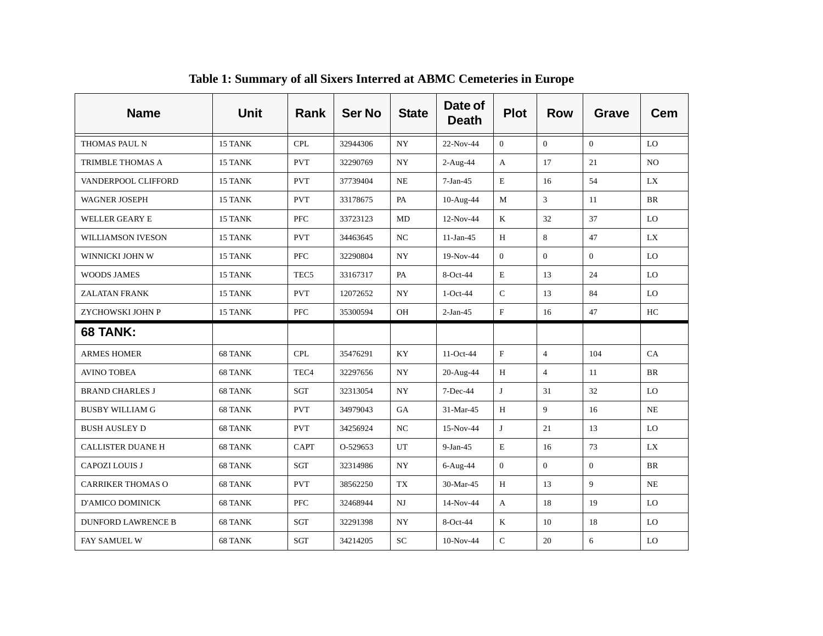| <b>Name</b>               | <b>Unit</b> | <b>Rank</b>      | <b>Ser No</b> | <b>State</b>             | Date of<br><b>Death</b> | <b>Plot</b>    | <b>Row</b>     | Grave          | <b>Cem</b>     |
|---------------------------|-------------|------------------|---------------|--------------------------|-------------------------|----------------|----------------|----------------|----------------|
| THOMAS PAUL N             | 15 TANK     | <b>CPL</b>       | 32944306      | NY                       | 22-Nov-44               | $\overline{0}$ | $\overline{0}$ | $\overline{0}$ | LO             |
| TRIMBLE THOMAS A          | 15 TANK     | <b>PVT</b>       | 32290769      | NY                       | $2-Aug-44$              | A              | 17             | 21             | N <sub>O</sub> |
| VANDERPOOL CLIFFORD       | 15 TANK     | <b>PVT</b>       | 37739404      | NE                       | $7-Jan-45$              | $\mathbf E$    | 16             | 54             | LX.            |
| <b>WAGNER JOSEPH</b>      | 15 TANK     | <b>PVT</b>       | 33178675      | PA                       | 10-Aug-44               | M              | 3              | 11             | <b>BR</b>      |
| <b>WELLER GEARY E</b>     | 15 TANK     | <b>PFC</b>       | 33723123      | MD                       | 12-Nov-44               | K              | 32             | 37             | LO             |
| <b>WILLIAMSON IVESON</b>  | 15 TANK     | <b>PVT</b>       | 34463645      | NC.                      | $11-Jan-45$             | H              | 8              | 47             | LX             |
| WINNICKI JOHN W           | 15 TANK     | PFC              | 32290804      | <b>NY</b>                | 19-Nov-44               | $\overline{0}$ | $\overline{0}$ | $\overline{0}$ | LO             |
| <b>WOODS JAMES</b>        | 15 TANK     | TEC <sub>5</sub> | 33167317      | PA                       | 8-Oct-44                | E              | 13             | 24             | LO             |
| <b>ZALATAN FRANK</b>      | 15 TANK     | <b>PVT</b>       | 12072652      | <b>NY</b>                | $1-Oct-44$              | $\mathsf C$    | 13             | 84             | LO             |
| ZYCHOWSKI JOHN P          | 15 TANK     | <b>PFC</b>       | 35300594      | OH                       | $2-Jan-45$              | $\mathbf F$    | 16             | 47             | HC             |
| <b>68 TANK:</b>           |             |                  |               |                          |                         |                |                |                |                |
|                           |             |                  |               |                          |                         |                |                |                |                |
| <b>ARMES HOMER</b>        | 68 TANK     | <b>CPL</b>       | 35476291      | KY                       | 11-Oct-44               | F              | $\overline{4}$ | 104            | CA             |
| <b>AVINO TOBEA</b>        | 68 TANK     | TEC <sub>4</sub> | 32297656      | $\ensuremath{\text{NY}}$ | 20-Aug-44               | H              | $\overline{4}$ | 11             | BR             |
| <b>BRAND CHARLES J</b>    | 68 TANK     | <b>SGT</b>       | 32313054      | <b>NY</b>                | 7-Dec-44                | J              | 31             | 32             | LO             |
| <b>BUSBY WILLIAM G</b>    | 68 TANK     | <b>PVT</b>       | 34979043      | <b>GA</b>                | 31-Mar-45               | H              | 9              | 16             | NE             |
| <b>BUSH AUSLEY D</b>      | 68 TANK     | <b>PVT</b>       | 34256924      | $_{\rm NC}$              | 15-Nov-44               | J              | 21             | 13             | LO             |
| <b>CALLISTER DUANE H</b>  | 68 TANK     | <b>CAPT</b>      | O-529653      | UT                       | $9-Jan-45$              | $\mathbf E$    | 16             | 73             | LX.            |
| <b>CAPOZI LOUIS J</b>     | 68 TANK     | SGT              | 32314986      | <b>NY</b>                | 6-Aug-44                | $\overline{0}$ | $\theta$       | $\overline{0}$ | <b>BR</b>      |
| <b>CARRIKER THOMAS O</b>  | 68 TANK     | <b>PVT</b>       | 38562250      | TX                       | 30-Mar-45               | H              | 13             | 9              | NE             |
| D'AMICO DOMINICK          | 68 TANK     | PFC              | 32468944      | NJ                       | 14-Nov-44               | A              | 18             | 19             | LO             |
| <b>DUNFORD LAWRENCE B</b> | 68 TANK     | SGT              | 32291398      | NY                       | 8-Oct-44                | K              | 10             | 18             | LO             |

**Table 1: Summary of all Sixers Interred at ABMC Cemeteries in Europe**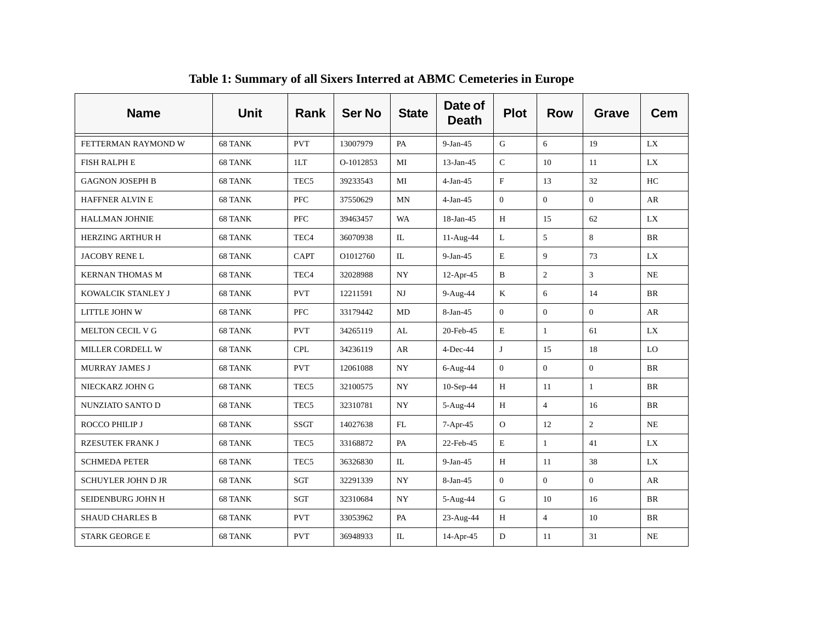| <b>Name</b>               | <b>Unit</b> | <b>Rank</b>      | <b>Ser No</b> | <b>State</b> | Date of<br><b>Death</b> | <b>Plot</b>    | <b>Row</b>     | <b>Grave</b>   | <b>Cem</b> |
|---------------------------|-------------|------------------|---------------|--------------|-------------------------|----------------|----------------|----------------|------------|
| FETTERMAN RAYMOND W       | 68 TANK     | <b>PVT</b>       | 13007979      | PA           | $9-Jan-45$              | G              | 6              | 19             | LX         |
| <b>FISH RALPH E</b>       | 68 TANK     | 1LT              | O-1012853     | MI           | 13-Jan-45               | $\mathsf C$    | 10             | 11             | LX         |
| <b>GAGNON JOSEPH B</b>    | 68 TANK     | TEC <sub>5</sub> | 39233543      | MI           | $4-Jan-45$              | $_{\rm F}$     | 13             | 32             | HC         |
| <b>HAFFNER ALVIN E</b>    | 68 TANK     | <b>PFC</b>       | 37550629      | MN           | $4-Jan-45$              | $\overline{0}$ | $\overline{0}$ | $\Omega$       | AR         |
| <b>HALLMAN JOHNIE</b>     | 68 TANK     | <b>PFC</b>       | 39463457      | <b>WA</b>    | 18-Jan-45               | $\, {\rm H}$   | 15             | 62             | LX         |
| <b>HERZING ARTHUR H</b>   | 68 TANK     | TEC <sub>4</sub> | 36070938      | IL           | 11-Aug-44               | $\mathbf{L}$   | 5              | 8              | <b>BR</b>  |
| JACOBY RENE L             | 68 TANK     | <b>CAPT</b>      | O1012760      | IL           | $9-Jan-45$              | $\mathbf E$    | 9              | 73             | LX         |
| <b>KERNAN THOMAS M</b>    | 68 TANK     | TEC <sub>4</sub> | 32028988      | <b>NY</b>    | $12-Apr-45$             | $\mathbf B$    | $\overline{c}$ | $\mathfrak{Z}$ | <b>NE</b>  |
| KOWALCIK STANLEY J        | 68 TANK     | <b>PVT</b>       | 12211591      | NJ           | 9-Aug-44                | K              | 6              | 14             | <b>BR</b>  |
| LITTLE JOHN W             | 68 TANK     | <b>PFC</b>       | 33179442      | MD           | $8-Jan-45$              | $\overline{0}$ | $\overline{0}$ | $\Omega$       | AR         |
| MELTON CECIL V G          | 68 TANK     | <b>PVT</b>       | 34265119      | AL           | 20-Feb-45               | $\mathbf E$    | $\mathbf{1}$   | 61             | LX         |
| MILLER CORDELL W          | 68 TANK     | <b>CPL</b>       | 34236119      | AR           | $4$ -Dec-44             | $\mathbf{J}$   | 15             | 18             | LO         |
| <b>MURRAY JAMES J</b>     | 68 TANK     | <b>PVT</b>       | 12061088      | <b>NY</b>    | 6-Aug-44                | $\mathbf{0}$   | $\overline{0}$ | $\overline{0}$ | <b>BR</b>  |
| NIECKARZ JOHN G           | 68 TANK     | TEC <sub>5</sub> | 32100575      | NY           | 10-Sep-44               | H              | 11             | $\mathbf{1}$   | BR         |
| NUNZIATO SANTO D          | 68 TANK     | TEC <sub>5</sub> | 32310781      | NY           | 5-Aug-44                | H              | $\overline{4}$ | 16             | <b>BR</b>  |
| ROCCO PHILIP J            | 68 TANK     | <b>SSGT</b>      | 14027638      | FL           | 7-Apr-45                | $\mathbf{O}$   | 12             | $\overline{2}$ | <b>NE</b>  |
| <b>RZESUTEK FRANK J</b>   | 68 TANK     | TEC <sub>5</sub> | 33168872      | PA           | 22-Feb-45               | $\mathbf E$    | $\mathbf{1}$   | 41             | <b>LX</b>  |
| <b>SCHMEDA PETER</b>      | 68 TANK     | TEC <sub>5</sub> | 36326830      | IL           | $9-Jan-45$              | H              | 11             | 38             | LX         |
| <b>SCHUYLER JOHN D JR</b> | 68 TANK     | <b>SGT</b>       | 32291339      | <b>NY</b>    | $8-Jan-45$              | $\overline{0}$ | $\Omega$       | $\Omega$       | AR         |
| SEIDENBURG JOHN H         | 68 TANK     | SGT              | 32310684      | NY           | 5-Aug-44                | G              | 10             | 16             | <b>BR</b>  |
| <b>SHAUD CHARLES B</b>    | 68 TANK     | <b>PVT</b>       | 33053962      | PA           | 23-Aug-44               | H              | $\overline{4}$ | 10             | <b>BR</b>  |
| <b>STARK GEORGE E</b>     | 68 TANK     | <b>PVT</b>       | 36948933      | IL           | 14-Apr-45               | D              | 11             | 31             | NE         |

**Table 1: Summary of all Sixers Interred at ABMC Cemeteries in Europe**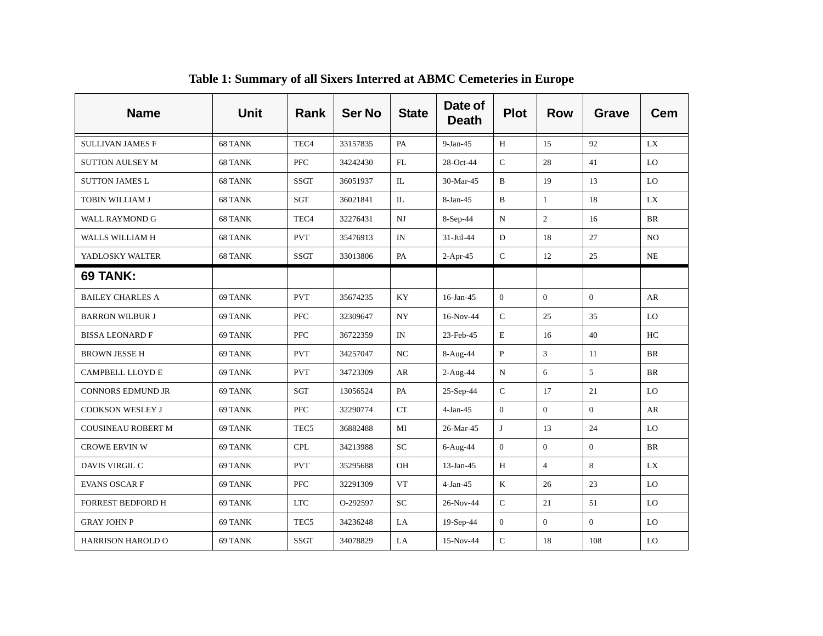| <b>Name</b>               | <b>Unit</b> | Rank             | <b>Ser No</b> | <b>State</b>       | Date of<br><b>Death</b> | <b>Plot</b>    | <b>Row</b>     | Grave          | Cem            |
|---------------------------|-------------|------------------|---------------|--------------------|-------------------------|----------------|----------------|----------------|----------------|
| <b>SULLIVAN JAMES F</b>   | 68 TANK     | TEC <sub>4</sub> | 33157835      | PA                 | $9-Jan-45$              | H              | 15             | 92             | LX             |
| <b>SUTTON AULSEY M</b>    | 68 TANK     | PFC              | 34242430      | FL                 | 28-Oct-44               | ${\bf C}$      | 28             | 41             | LO             |
| <b>SUTTON JAMES L</b>     | 68 TANK     | SSGT             | 36051937      | IL                 | 30-Mar-45               | $\, {\bf B}$   | 19             | 13             | LO             |
| TOBIN WILLIAM J           | 68 TANK     | SGT              | 36021841      | $\mathbb{L}$       | 8-Jan-45                | $\mathbf B$    | $\mathbf{1}$   | 18             | LX             |
| <b>WALL RAYMOND G</b>     | 68 TANK     | TEC <sub>4</sub> | 32276431      | $_{\rm NJ}$        | 8-Sep-44                | N              | $\overline{2}$ | 16             | <b>BR</b>      |
| WALLS WILLIAM H           | 68 TANK     | <b>PVT</b>       | 35476913      | IN                 | 31-Jul-44               | D              | 18             | 27             | N <sub>O</sub> |
| YADLOSKY WALTER           | 68 TANK     | <b>SSGT</b>      | 33013806      | PA                 | $2-Apr-45$              | $\mathsf{C}$   | 12             | 25             | NE             |
| 69 TANK:                  |             |                  |               |                    |                         |                |                |                |                |
| <b>BAILEY CHARLES A</b>   | 69 TANK     | <b>PVT</b>       | 35674235      | KY                 | $16$ -Jan-45            | $\mathbf{0}$   | $\overline{0}$ | $\mathbf{0}$   | AR             |
| <b>BARRON WILBUR J</b>    | 69 TANK     | <b>PFC</b>       | 32309647      | <b>NY</b>          | 16-Nov-44               | $\mathbf C$    | 25             | 35             | LO             |
| <b>BISSA LEONARD F</b>    | 69 TANK     | <b>PFC</b>       | 36722359      | IN                 | 23-Feb-45               | $\mathbf E$    | 16             | 40             | HC             |
| <b>BROWN JESSE H</b>      | 69 TANK     | <b>PVT</b>       | 34257047      | $_{\rm NC}$        | 8-Aug-44                | $\, {\bf P}$   | 3              | 11             | <b>BR</b>      |
| CAMPBELL LLOYD E          | 69 TANK     | <b>PVT</b>       | 34723309      | AR                 | 2-Aug-44                | N              | 6              | 5              | <b>BR</b>      |
| <b>CONNORS EDMUND JR</b>  | 69 TANK     | <b>SGT</b>       | 13056524      | PA                 | 25-Sep-44               | ${\bf C}$      | 17             | 21             | LO             |
| COOKSON WESLEY J          | 69 TANK     | <b>PFC</b>       | 32290774      | ${\cal C}{\cal T}$ | $4-Jan-45$              | $\mathbf{0}$   | $\theta$       | $\mathbf{0}$   | AR             |
| <b>COUSINEAU ROBERT M</b> | 69 TANK     | TEC <sub>5</sub> | 36882488      | MI                 | 26-Mar-45               | J              | 13             | 24             | LO             |
| <b>CROWE ERVIN W</b>      | 69 TANK     | <b>CPL</b>       | 34213988      | ${\rm SC}$         | 6-Aug-44                | $\overline{0}$ | $\theta$       | $\overline{0}$ | BR             |
| DAVIS VIRGIL C            | 69 TANK     | <b>PVT</b>       | 35295688      | OH                 | $13-Jan-45$             | H              | $\overline{4}$ | 8              | LX             |
| <b>EVANS OSCAR F</b>      | 69 TANK     | <b>PFC</b>       | 32291309      | <b>VT</b>          | $4-Jan-45$              | $\mathbf K$    | 26             | 23             | LO             |
| <b>FORREST BEDFORD H</b>  | 69 TANK     | $_{\rm{LTC}}$    | O-292597      | SC                 | 26-Nov-44               | $\mathsf C$    | 21             | 51             | LO             |
| <b>GRAY JOHN P</b>        | 69 TANK     | TEC <sub>5</sub> | 34236248      | LA                 | 19-Sep-44               | $\overline{0}$ | $\mathbf{0}$   | $\overline{0}$ | LO             |
| <b>HARRISON HAROLD O</b>  | 69 TANK     | SSGT             | 34078829      | LA                 | 15-Nov-44               | $\mathbf C$    | 18             | 108            | LO             |

**Table 1: Summary of all Sixers Interred at ABMC Cemeteries in Europe**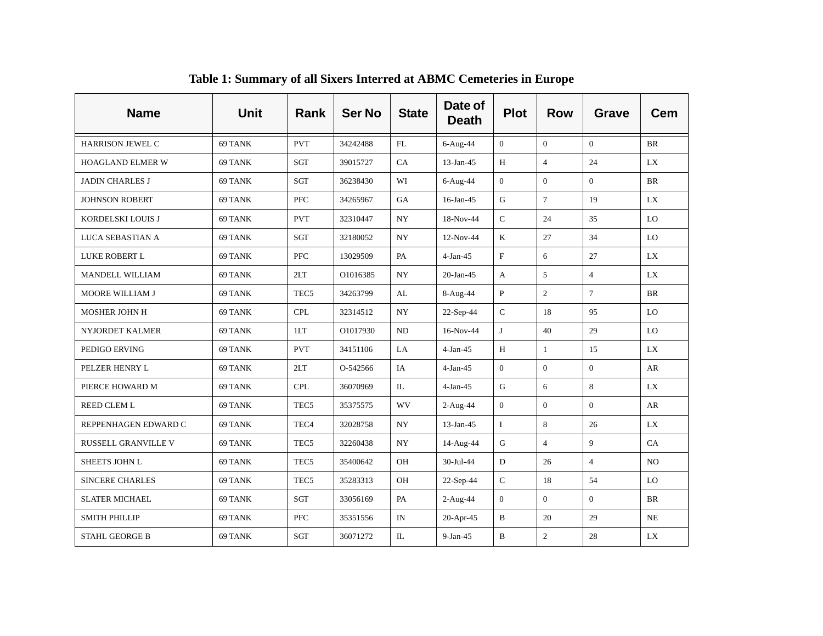| <b>Name</b>                | <b>Unit</b> | <b>Rank</b>      | <b>Ser No</b> | <b>State</b>     | Date of<br><b>Death</b> | <b>Plot</b>    | <b>Row</b>     | <b>Grave</b>   | <b>Cem</b>     |
|----------------------------|-------------|------------------|---------------|------------------|-------------------------|----------------|----------------|----------------|----------------|
| <b>HARRISON JEWEL C</b>    | 69 TANK     | <b>PVT</b>       | 34242488      | FL               | $6-Aug-44$              | $\overline{0}$ | $\Omega$       | $\Omega$       | <b>BR</b>      |
| HOAGLAND ELMER W           | 69 TANK     | SGT              | 39015727      | CA               | $13$ -Jan-45            | H              | $\overline{4}$ | 24             | <b>LX</b>      |
| <b>JADIN CHARLES J</b>     | 69 TANK     | <b>SGT</b>       | 36238430      | WI               | $6-Aug-44$              | $\overline{0}$ | $\overline{0}$ | $\Omega$       | <b>BR</b>      |
| <b>JOHNSON ROBERT</b>      | 69 TANK     | <b>PFC</b>       | 34265967      | <b>GA</b>        | $16$ -Jan-45            | G              | $\tau$         | 19             | LX             |
| KORDELSKI LOUIS J          | 69 TANK     | <b>PVT</b>       | 32310447      | $_{\mathrm{NY}}$ | 18-Nov-44               | $\mathsf C$    | 24             | 35             | LO             |
| LUCA SEBASTIAN A           | 69 TANK     | <b>SGT</b>       | 32180052      | <b>NY</b>        | 12-Nov-44               | $\mathbf K$    | 27             | 34             | LO             |
| LUKE ROBERT L              | 69 TANK     | <b>PFC</b>       | 13029509      | PA               | $4-Jan-45$              | $\mathbf F$    | 6              | 27             | LX             |
| MANDELL WILLIAM            | 69 TANK     | 2LT              | O1016385      | <b>NY</b>        | $20-Ian-45$             | A              | 5              | $\overline{4}$ | LX             |
| MOORE WILLIAM J            | 69 TANK     | TEC <sub>5</sub> | 34263799      | AL               | 8-Aug-44                | $\mathbf{P}$   | $\overline{2}$ | $\tau$         | <b>BR</b>      |
| MOSHER JOHN H              | 69 TANK     | <b>CPL</b>       | 32314512      | <b>NY</b>        | 22-Sep-44               | $\mathsf{C}$   | 18             | 95             | LO             |
| NYJORDET KALMER            | 69 TANK     | 1LT              | O1017930      | ND               | 16-Nov-44               | J              | 40             | 29             | LO             |
| PEDIGO ERVING              | 69 TANK     | <b>PVT</b>       | 34151106      | LA               | $4-Jan-45$              | H              | $\mathbf{1}$   | 15             | LX             |
| PELZER HENRY L             | 69 TANK     | 2LT              | O-542566      | IA               | $4-Jan-45$              | $\overline{0}$ | $\overline{0}$ | $\overline{0}$ | AR             |
| PIERCE HOWARD M            | 69 TANK     | <b>CPL</b>       | 36070969      | IL               | $4-Jan-45$              | G              | 6              | 8              | LX             |
| <b>REED CLEM L</b>         | 69 TANK     | TEC <sub>5</sub> | 35375575      | WV               | $2-Aug-44$              | $\overline{0}$ | $\overline{0}$ | $\Omega$       | AR             |
| REPPENHAGEN EDWARD C       | 69 TANK     | TEC <sub>4</sub> | 32028758      | $_{\mathrm{NY}}$ | 13-Jan-45               | $\mathbf I$    | 8              | 26             | <b>LX</b>      |
| <b>RUSSELL GRANVILLE V</b> | 69 TANK     | TEC <sub>5</sub> | 32260438      | <b>NY</b>        | 14-Aug-44               | G              | $\overline{4}$ | 9              | CA             |
| SHEETS JOHN L              | 69 TANK     | TEC <sub>5</sub> | 35400642      | OH               | 30-Jul-44               | ${\rm D}$      | 26             | $\overline{4}$ | N <sub>O</sub> |
| <b>SINCERE CHARLES</b>     | 69 TANK     | TEC <sub>5</sub> | 35283313      | OH               | 22-Sep-44               | $\mathsf C$    | 18             | 54             | LO             |
| <b>SLATER MICHAEL</b>      | 69 TANK     | SGT              | 33056169      | PA               | $2-Aug-44$              | $\overline{0}$ | $\overline{0}$ | $\Omega$       | <b>BR</b>      |
| <b>SMITH PHILLIP</b>       | 69 TANK     | <b>PFC</b>       | 35351556      | IN               | 20-Apr-45               | B              | 20             | 29             | <b>NE</b>      |
| <b>STAHL GEORGE B</b>      | 69 TANK     | SGT              | 36071272      | IL               | $9-Jan-45$              | B              | $\overline{2}$ | 28             | LX             |

**Table 1: Summary of all Sixers Interred at ABMC Cemeteries in Europe**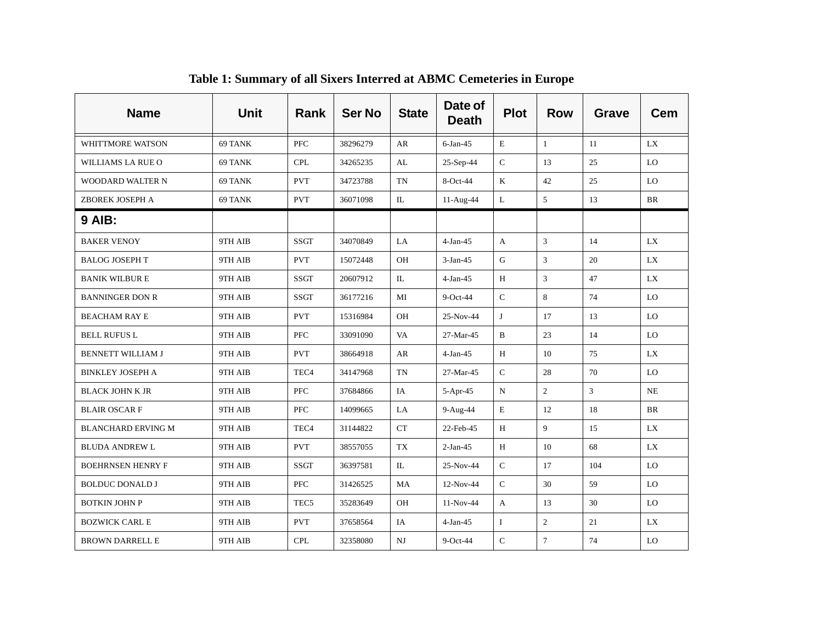| <b>Name</b>               | <b>Unit</b> | Rank             | <b>Ser No</b> | <b>State</b> | Date of<br><b>Death</b> | <b>Plot</b>  | <b>Row</b>                  | <b>Grave</b> | <b>Cem</b> |
|---------------------------|-------------|------------------|---------------|--------------|-------------------------|--------------|-----------------------------|--------------|------------|
| WHITTMORE WATSON          | 69 TANK     | PFC              | 38296279      | AR           | $6$ -Jan-45             | E            | $\mathbf{1}$                | 11           | LX         |
| WILLIAMS LA RUE O         | 69 TANK     | <b>CPL</b>       | 34265235      | AL           | 25-Sep-44               | $\mathbf C$  | 13                          | 25           | LO         |
| WOODARD WALTER N          | 69 TANK     | <b>PVT</b>       | 34723788      | TN           | 8-Oct-44                | $\bf K$      | 42                          | 25           | LO         |
| ZBOREK JOSEPH A           | 69 TANK     | <b>PVT</b>       | 36071098      | IL           | 11-Aug-44               | L            | 5                           | 13           | BR         |
| <b>9 AIB:</b>             |             |                  |               |              |                         |              |                             |              |            |
| <b>BAKER VENOY</b>        | 9TH AIB     | <b>SSGT</b>      | 34070849      | LA           | $4-Jan-45$              | A            | $\sqrt{3}$                  | 14           | LX         |
| <b>BALOG JOSEPH T</b>     | 9TH AIB     | <b>PVT</b>       | 15072448      | OH           | $3-Jan-45$              | G            | 3                           | 20           | LX         |
| <b>BANIK WILBURE</b>      | 9TH AIB     | <b>SSGT</b>      | 20607912      | IL           | $4-Jan-45$              | H            | $\ensuremath{\mathfrak{Z}}$ | 47           | LX         |
| <b>BANNINGER DON R</b>    | 9TH AIB     | <b>SSGT</b>      | 36177216      | MI           | $9$ -Oct-44             | $\mathsf{C}$ | 8                           | 74           | LO         |
| <b>BEACHAM RAY E</b>      | 9TH AIB     | <b>PVT</b>       | 15316984      | OH           | 25-Nov-44               | J            | 17                          | 13           | LO         |
| <b>BELL RUFUS L</b>       | 9TH AIB     | <b>PFC</b>       | 33091090      | VA           | 27-Mar-45               | B            | 23                          | 14           | LO         |
| <b>BENNETT WILLIAM J</b>  | 9TH AIB     | <b>PVT</b>       | 38664918      | ${\sf AR}$   | $4-Jan-45$              | $\, {\rm H}$ | 10                          | 75           | LX         |
| <b>BINKLEY JOSEPH A</b>   | 9TH AIB     | TEC <sub>4</sub> | 34147968      | TN           | 27-Mar-45               | $\mathsf C$  | 28                          | 70           | LO         |
| <b>BLACK JOHN K JR</b>    | 9TH AIB     | <b>PFC</b>       | 37684866      | IA           | 5-Apr-45                | N            | $\overline{c}$              | 3            | <b>NE</b>  |
| <b>BLAIR OSCARF</b>       | 9TH AIB     | <b>PFC</b>       | 14099665      | LA           | 9-Aug-44                | E            | 12                          | 18           | <b>BR</b>  |
| <b>BLANCHARD ERVING M</b> | 9TH AIB     | TEC <sub>4</sub> | 31144822      | CT           | 22-Feb-45               | $\, {\rm H}$ | 9                           | 15           | LX         |
| <b>BLUDA ANDREW L</b>     | 9TH AIB     | <b>PVT</b>       | 38557055      | TX           | $2-Jan-45$              | H            | 10                          | 68           | LX         |
| <b>BOEHRNSEN HENRY F</b>  | 9TH AIB     | <b>SSGT</b>      | 36397581      | IL           | 25-Nov-44               | $\mathsf C$  | 17                          | 104          | LO         |
| <b>BOLDUC DONALD J</b>    | 9TH AIB     | <b>PFC</b>       | 31426525      | MA           | $12-Nov-44$             | $\mathsf C$  | 30                          | 59           | LO         |
| BOTKIN JOHN P             | 9TH AIB     | TEC <sub>5</sub> | 35283649      | OH           | 11-Nov-44               | A            | 13                          | 30           | LO         |
| <b>BOZWICK CARL E</b>     | 9TH AIB     | <b>PVT</b>       | 37658564      | IA           | $4-Jan-45$              | $\bf{I}$     | $\overline{2}$              | 21           | LX         |
| <b>BROWN DARRELL E</b>    | 9TH AIB     | <b>CPL</b>       | 32358080      | NJ           | $9$ -Oct-44             | $\mathbf C$  | $\tau$                      | 74           | LO         |

**Table 1: Summary of all Sixers Interred at ABMC Cemeteries in Europe**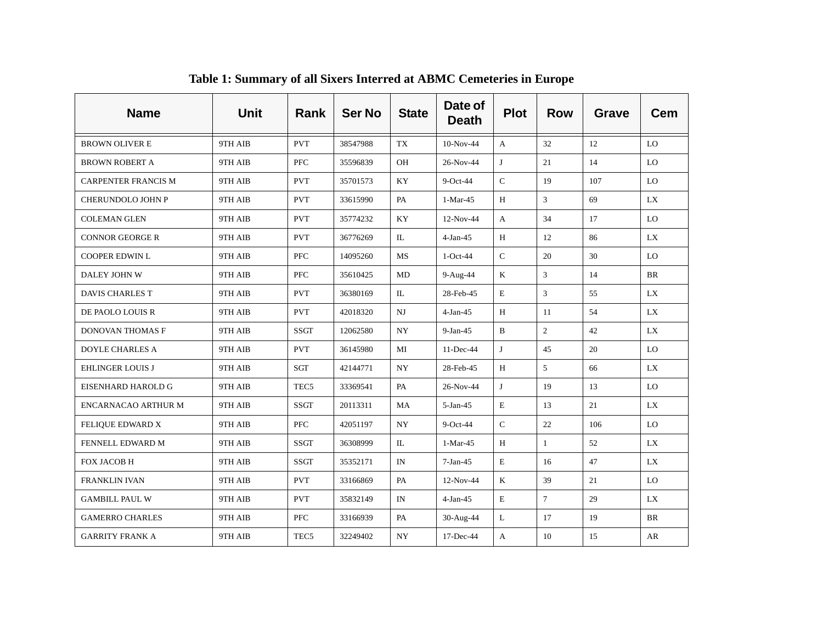| <b>Name</b>                | <b>Unit</b> | Rank             | <b>Ser No</b> | <b>State</b> | Date of<br><b>Death</b> | <b>Plot</b>  | <b>Row</b>     | Grave | <b>Cem</b> |
|----------------------------|-------------|------------------|---------------|--------------|-------------------------|--------------|----------------|-------|------------|
| <b>BROWN OLIVER E</b>      | 9TH AIB     | <b>PVT</b>       | 38547988      | TX           | $10-Nov-44$             | $\mathbf{A}$ | 32             | 12    | LO         |
| <b>BROWN ROBERT A</b>      | 9TH AIB     | PFC              | 35596839      | OH           | 26-Nov-44               | J            | 21             | 14    | LO         |
| <b>CARPENTER FRANCIS M</b> | 9TH AIB     | <b>PVT</b>       | 35701573      | KY           | $9$ -Oct-44             | $\mathsf C$  | 19             | 107   | LO         |
| CHERUNDOLO JOHN P          | 9TH AIB     | <b>PVT</b>       | 33615990      | PA           | $1-Mar-45$              | H            | 3              | 69    | LX         |
| <b>COLEMAN GLEN</b>        | 9TH AIB     | <b>PVT</b>       | 35774232      | KY           | 12-Nov-44               | A            | 34             | 17    | LO         |
| <b>CONNOR GEORGE R</b>     | 9TH AIB     | <b>PVT</b>       | 36776269      | $\mathbb{L}$ | $4-Jan-45$              | H            | 12             | 86    | LX         |
| COOPER EDWIN L             | 9TH AIB     | PFC              | 14095260      | MS           | $1-Oct-44$              | ${\bf C}$    | 20             | 30    | LO         |
| DALEY JOHN W               | 9TH AIB     | <b>PFC</b>       | 35610425      | MD           | 9-Aug-44                | K            | 3              | 14    | <b>BR</b>  |
| <b>DAVIS CHARLES T</b>     | 9TH AIB     | <b>PVT</b>       | 36380169      | $\mathbb{L}$ | 28-Feb-45               | $\mathbf E$  | 3              | 55    | <b>LX</b>  |
| DE PAOLO LOUIS R           | 9TH AIB     | <b>PVT</b>       | 42018320      | $_{\rm NJ}$  | $4-Jan-45$              | H            | 11             | 54    | LX         |
| DONOVAN THOMAS F           | 9TH AIB     | <b>SSGT</b>      | 12062580      | NY           | $9-Jan-45$              | B            | $\overline{c}$ | 42    | LX         |
| <b>DOYLE CHARLES A</b>     | 9TH AIB     | <b>PVT</b>       | 36145980      | MI           | 11-Dec-44               | J            | 45             | 20    | LO         |
| <b>EHLINGER LOUIS J</b>    | 9TH AIB     | SGT              | 42144771      | <b>NY</b>    | 28-Feb-45               | Н            | 5              | 66    | LX         |
| EISENHARD HAROLD G         | 9TH AIB     | TEC <sub>5</sub> | 33369541      | PA           | 26-Nov-44               | J            | 19             | 13    | LO         |
| ENCARNACAO ARTHUR M        | 9TH AIB     | <b>SSGT</b>      | 20113311      | MA           | 5-Jan-45                | $\mathbf E$  | 13             | 21    | <b>LX</b>  |
| FELIQUE EDWARD X           | 9TH AIB     | PFC              | 42051197      | <b>NY</b>    | $9$ -Oct-44             | ${\bf C}$    | 22             | 106   | LO         |
| FENNELL EDWARD M           | 9TH AIB     | <b>SSGT</b>      | 36308999      | $\mathbb{L}$ | $1-Mar-45$              | H            | $\mathbf{1}$   | 52    | <b>LX</b>  |
| FOX JACOB H                | 9TH AIB     | <b>SSGT</b>      | 35352171      | IN           | $7-Jan-45$              | $\mathbf E$  | 16             | 47    | <b>LX</b>  |
| <b>FRANKLIN IVAN</b>       | 9TH AIB     | <b>PVT</b>       | 33166869      | PA           | 12-Nov-44               | K            | 39             | 21    | LO         |
| <b>GAMBILL PAUL W</b>      | 9TH AIB     | <b>PVT</b>       | 35832149      | IN           | $4-Jan-45$              | $\mathbf E$  | $\tau$         | 29    | <b>LX</b>  |
| <b>GAMERRO CHARLES</b>     | 9TH AIB     | <b>PFC</b>       | 33166939      | PA           | 30-Aug-44               | L            | 17             | 19    | <b>BR</b>  |
| <b>GARRITY FRANK A</b>     | 9TH AIB     | TEC <sub>5</sub> | 32249402      | <b>NY</b>    | 17-Dec-44               | A            | 10             | 15    | AR         |

**Table 1: Summary of all Sixers Interred at ABMC Cemeteries in Europe**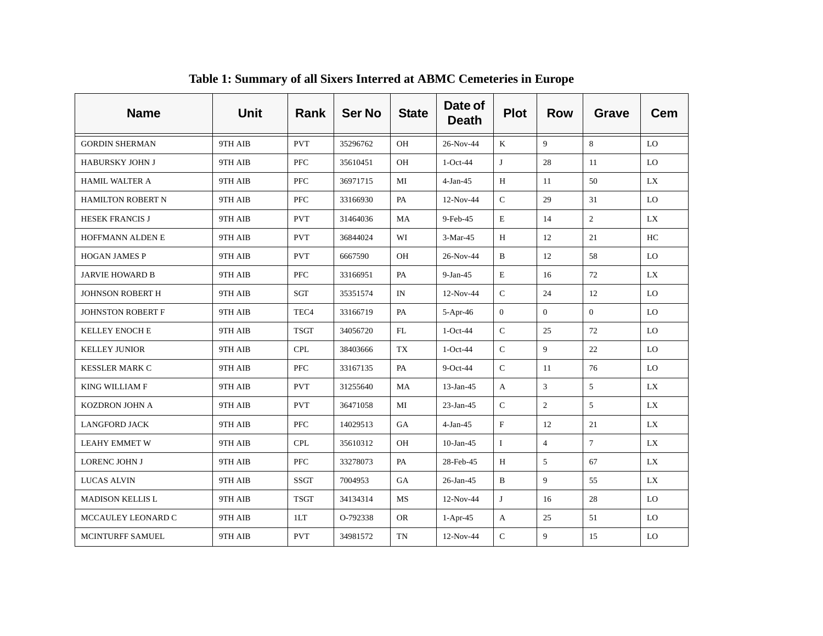| <b>Name</b>              | <b>Unit</b> | <b>Rank</b>      | <b>Ser No</b> | <b>State</b> | Date of<br><b>Death</b> | <b>Plot</b>    | <b>Row</b>     | <b>Grave</b>   | <b>Cem</b> |
|--------------------------|-------------|------------------|---------------|--------------|-------------------------|----------------|----------------|----------------|------------|
| <b>GORDIN SHERMAN</b>    | 9TH AIB     | <b>PVT</b>       | 35296762      | OH           | 26-Nov-44               | K              | 9              | 8              | LO         |
| HABURSKY JOHN J          | 9TH AIB     | <b>PFC</b>       | 35610451      | OH           | $1-Oct-44$              | J              | 28             | 11             | LO         |
| <b>HAMIL WALTER A</b>    | 9TH AIB     | <b>PFC</b>       | 36971715      | MI           | $4-Jan-45$              | H              | 11             | 50             | LX         |
| <b>HAMILTON ROBERT N</b> | 9TH AIB     | <b>PFC</b>       | 33166930      | PA           | 12-Nov-44               | $\mathsf{C}$   | 29             | 31             | LO         |
| <b>HESEK FRANCIS J</b>   | 9TH AIB     | <b>PVT</b>       | 31464036      | MA           | 9-Feb-45                | $\mathbf E$    | 14             | $\overline{2}$ | <b>LX</b>  |
| <b>HOFFMANN ALDEN E</b>  | 9TH AIB     | <b>PVT</b>       | 36844024      | WI           | $3-Mar-45$              | H              | 12             | 21             | HC         |
| <b>HOGAN JAMES P</b>     | 9TH AIB     | <b>PVT</b>       | 6667590       | OH           | 26-Nov-44               | $\, {\bf B}$   | 12             | 58             | LO         |
| <b>JARVIE HOWARD B</b>   | 9TH AIB     | <b>PFC</b>       | 33166951      | PA           | $9-Jan-45$              | $\mathbf E$    | 16             | 72             | <b>LX</b>  |
| JOHNSON ROBERT H         | 9TH AIB     | SGT              | 35351574      | IN           | 12-Nov-44               | $\mathsf{C}$   | 24             | 12             | LO         |
| JOHNSTON ROBERT F        | 9TH AIB     | TEC <sub>4</sub> | 33166719      | PA           | 5-Apr-46                | $\overline{0}$ | $\overline{0}$ | $\Omega$       | LO         |
| <b>KELLEY ENOCH E</b>    | 9TH AIB     | <b>TSGT</b>      | 34056720      | FL           | $1-Oct-44$              | ${\bf C}$      | 25             | 72             | LO         |
| <b>KELLEY JUNIOR</b>     | 9TH AIB     | <b>CPL</b>       | 38403666      | TX           | $1-Oct-44$              | $\mathsf{C}$   | 9              | 22             | LO         |
| <b>KESSLER MARK C</b>    | 9TH AIB     | <b>PFC</b>       | 33167135      | PA           | $9$ -Oct-44             | $\mathsf C$    | 11             | 76             | LO         |
| KING WILLIAM F           | 9TH AIB     | <b>PVT</b>       | 31255640      | MA           | 13-Jan-45               | A              | $\overline{3}$ | 5              | LX         |
| KOZDRON JOHN A           | 9TH AIB     | <b>PVT</b>       | 36471058      | MI           | 23-Jan-45               | $\mathsf{C}$   | $\overline{2}$ | 5              | LX         |
| <b>LANGFORD JACK</b>     | 9TH AIB     | <b>PFC</b>       | 14029513      | GA           | $4-Jan-45$              | $\mathbf F$    | 12             | 21             | <b>LX</b>  |
| <b>LEAHY EMMET W</b>     | 9TH AIB     | <b>CPL</b>       | 35610312      | <b>OH</b>    | $10$ -Jan-45            | $\bf{I}$       | $\overline{4}$ | $\overline{7}$ | <b>LX</b>  |
| LORENC JOHN J            | 9TH AIB     | <b>PFC</b>       | 33278073      | PA           | 28-Feb-45               | H              | 5              | 67             | <b>LX</b>  |
| <b>LUCAS ALVIN</b>       | 9TH AIB     | <b>SSGT</b>      | 7004953       | GA           | $26$ -Jan-45            | $\, {\bf B}$   | 9              | 55             | <b>LX</b>  |
| <b>MADISON KELLIS L</b>  | 9TH AIB     | <b>TSGT</b>      | 34134314      | MS           | 12-Nov-44               | J              | 16             | 28             | LO         |
| MCCAULEY LEONARD C       | 9TH AIB     | 1LT              | O-792338      | <b>OR</b>    | $1-Apr-45$              | A              | 25             | 51             | LO         |
| <b>MCINTURFF SAMUEL</b>  | 9TH AIB     | <b>PVT</b>       | 34981572      | TN           | 12-Nov-44               | $\mathbf C$    | 9              | 15             | LO         |

**Table 1: Summary of all Sixers Interred at ABMC Cemeteries in Europe**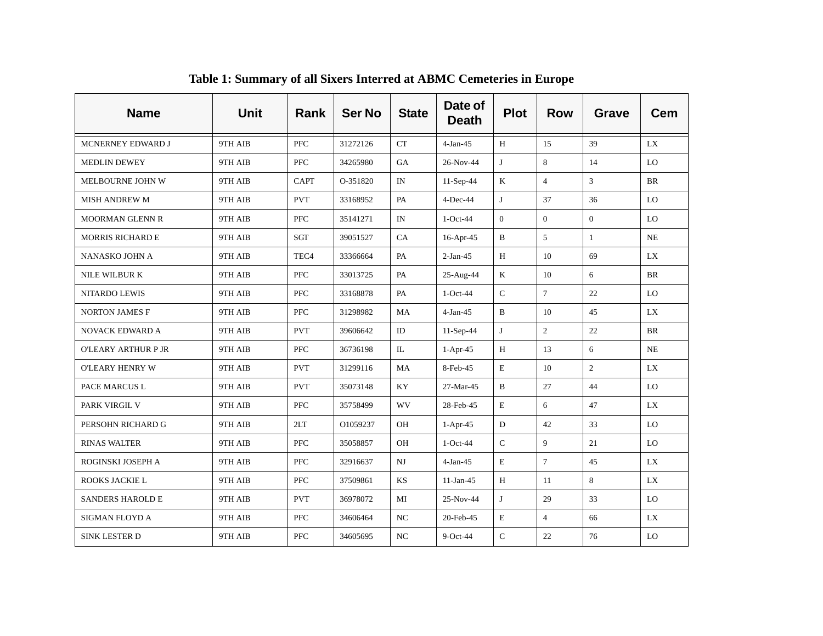| <b>Name</b>             | <b>Unit</b> | <b>Rank</b>      | <b>Ser No</b> | <b>State</b> | Date of<br><b>Death</b> | <b>Plot</b>  | <b>Row</b>     | <b>Grave</b>   | <b>Cem</b> |
|-------------------------|-------------|------------------|---------------|--------------|-------------------------|--------------|----------------|----------------|------------|
| MCNERNEY EDWARD J       | 9TH AIB     | <b>PFC</b>       | 31272126      | <b>CT</b>    | $4-Jan-45$              | H            | 15             | 39             | LX         |
| <b>MEDLIN DEWEY</b>     | 9TH AIB     | <b>PFC</b>       | 34265980      | GA           | 26-Nov-44               | J            | 8              | 14             | LO         |
| MELBOURNE JOHN W        | 9TH AIB     | <b>CAPT</b>      | O-351820      | IN           | $11-Sep-44$             | K            | $\overline{4}$ | 3              | <b>BR</b>  |
| <b>MISH ANDREW M</b>    | 9TH AIB     | <b>PVT</b>       | 33168952      | PA           | $4$ -Dec-44             | J            | 37             | 36             | LO         |
| <b>MOORMAN GLENN R</b>  | 9TH AIB     | <b>PFC</b>       | 35141271      | IN           | $1-Oct-44$              | $\mathbf{0}$ | $\overline{0}$ | $\overline{0}$ | LO         |
| <b>MORRIS RICHARD E</b> | 9TH AIB     | <b>SGT</b>       | 39051527      | CA           | 16-Apr-45               | B            | 5              | $\mathbf{1}$   | NE         |
| NANASKO JOHN A          | 9TH AIB     | TEC <sub>4</sub> | 33366664      | PA           | $2-Jan-45$              | H            | 10             | 69             | <b>LX</b>  |
| NILE WILBUR K           | 9TH AIB     | <b>PFC</b>       | 33013725      | PA           | 25-Aug-44               | $\mathbf K$  | 10             | 6              | <b>BR</b>  |
| NITARDO LEWIS           | 9TH AIB     | PFC              | 33168878      | PA           | $1-Oct-44$              | $\mathsf{C}$ | $\overline{7}$ | 22             | LO         |
| <b>NORTON JAMES F</b>   | 9TH AIB     | <b>PFC</b>       | 31298982      | MA           | $4-Jan-45$              | $\mathbf B$  | 10             | 45             | LX         |
| NOVACK EDWARD A         | 9TH AIB     | <b>PVT</b>       | 39606642      | ID           | 11-Sep-44               | J            | $\overline{2}$ | 22             | BR         |
| O'LEARY ARTHUR P JR     | 9TH AIB     | <b>PFC</b>       | 36736198      | $\Pi$ .      | $1-Apr-45$              | H            | 13             | 6              | NE         |
| O'LEARY HENRY W         | 9TH AIB     | <b>PVT</b>       | 31299116      | MA           | 8-Feb-45                | E            | 10             | $\overline{2}$ | LX         |
| PACE MARCUS L           | 9TH AIB     | <b>PVT</b>       | 35073148      | KY           | 27-Mar-45               | $\, {\bf B}$ | 27             | 44             | LO         |
| PARK VIRGIL V           | 9TH AIB     | <b>PFC</b>       | 35758499      | <b>WV</b>    | 28-Feb-45               | E            | 6              | 47             | LX         |
| PERSOHN RICHARD G       | 9TH AIB     | 2LT              | O1059237      | OH           | $1-Apr-45$              | ${\bf D}$    | 42             | 33             | LO         |
| <b>RINAS WALTER</b>     | 9TH AIB     | <b>PFC</b>       | 35058857      | <b>OH</b>    | $1-Oct-44$              | $\mathsf C$  | 9              | 21             | LO         |
| ROGINSKI JOSEPH A       | 9TH AIB     | <b>PFC</b>       | 32916637      | NJ           | $4-Jan-45$              | $\mathbf E$  | $\tau$         | 45             | <b>LX</b>  |
| ROOKS JACKIE L          | 9TH AIB     | <b>PFC</b>       | 37509861      | KS           | $11-Jan-45$             | H            | 11             | 8              | <b>LX</b>  |
| <b>SANDERS HAROLD E</b> | 9TH AIB     | <b>PVT</b>       | 36978072      | MI           | 25-Nov-44               | J            | 29             | 33             | LO         |
| SIGMAN FLOYD A          | 9TH AIB     | <b>PFC</b>       | 34606464      | NC           | 20-Feb-45               | $\mathbf E$  | $\overline{4}$ | 66             | <b>LX</b>  |
| <b>SINK LESTER D</b>    | 9TH AIB     | <b>PFC</b>       | 34605695      | NC           | $9$ -Oct-44             | $\mathbf C$  | 22             | 76             | LO         |

**Table 1: Summary of all Sixers Interred at ABMC Cemeteries in Europe**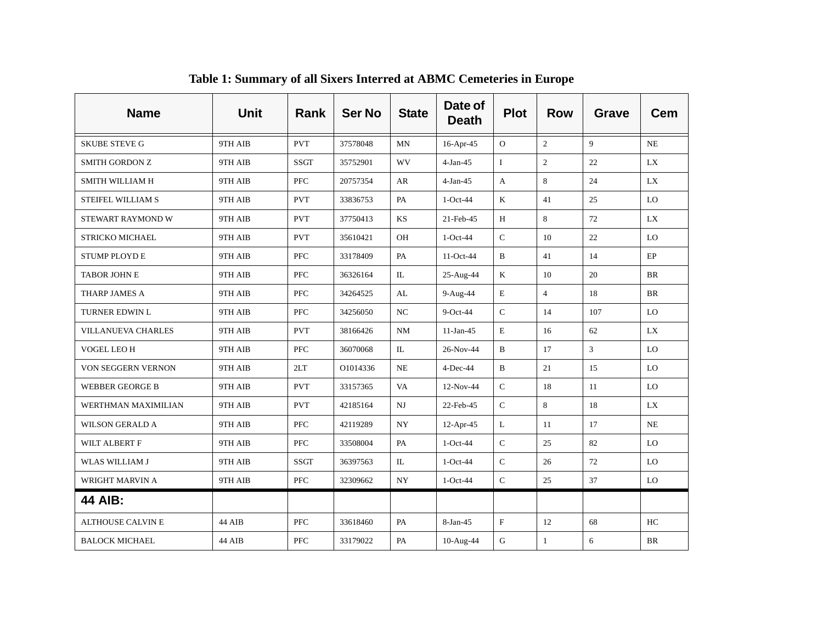| <b>Name</b>               | <b>Unit</b> | Rank        | <b>Ser No</b> | <b>State</b> | Date of<br><b>Death</b> | <b>Plot</b>  | <b>Row</b>     | <b>Grave</b>   | Cem       |
|---------------------------|-------------|-------------|---------------|--------------|-------------------------|--------------|----------------|----------------|-----------|
| <b>SKUBE STEVE G</b>      | 9TH AIB     | <b>PVT</b>  | 37578048      | MN           | $16$ -Apr-45            | $\Omega$     | 2              | $\overline{9}$ | <b>NE</b> |
| <b>SMITH GORDON Z</b>     | 9TH AIB     | <b>SSGT</b> | 35752901      | WV           | $4-Jan-45$              | $\bf{I}$     | $\overline{2}$ | 22             | LX        |
| SMITH WILLIAM H           | 9TH AIB     | <b>PFC</b>  | 20757354      | AR           | $4-Jan-45$              | A            | 8              | 24             | LX        |
| STEIFEL WILLIAM S         | 9TH AIB     | <b>PVT</b>  | 33836753      | PA           | $1-Oct-44$              | K            | 41             | 25             | LO        |
| STEWART RAYMOND W         | 9TH AIB     | <b>PVT</b>  | 37750413      | KS           | 21-Feb-45               | H            | 8              | 72             | LX        |
| STRICKO MICHAEL           | 9TH AIB     | <b>PVT</b>  | 35610421      | OH           | $1-Oct-44$              | $\mathsf C$  | 10             | 22             | LO        |
| <b>STUMP PLOYD E</b>      | 9TH AIB     | <b>PFC</b>  | 33178409      | PA           | 11-Oct-44               | $\, {\bf B}$ | 41             | 14             | $\rm EP$  |
| <b>TABOR JOHN E</b>       | 9TH AIB     | <b>PFC</b>  | 36326164      | IL           | 25-Aug-44               | $\mathbf K$  | 10             | 20             | <b>BR</b> |
| THARP JAMES A             | 9TH AIB     | <b>PFC</b>  | 34264525      | AL           | 9-Aug-44                | $\mathbf E$  | $\overline{4}$ | 18             | <b>BR</b> |
| TURNER EDWIN L            | 9TH AIB     | <b>PFC</b>  | 34256050      | NC           | $9$ -Oct-44             | $\mathsf C$  | 14             | 107            | LO.       |
| <b>VILLANUEVA CHARLES</b> | 9TH AIB     | <b>PVT</b>  | 38166426      | NM           | $11-Jan-45$             | E            | 16             | 62             | LX.       |
| VOGEL LEO H               | 9TH AIB     | <b>PFC</b>  | 36070068      | IL           | 26-Nov-44               | B            | 17             | $\mathbf{3}$   | LO.       |
| VON SEGGERN VERNON        | 9TH AIB     | 2LT         | O1014336      | $\rm NE$     | $4$ -Dec-44             | B            | 21             | 15             | LO        |
| <b>WEBBER GEORGE B</b>    | 9TH AIB     | <b>PVT</b>  | 33157365      | VA           | 12-Nov-44               | ${\bf C}$    | 18             | 11             | LO        |
| WERTHMAN MAXIMILIAN       | 9TH AIB     | <b>PVT</b>  | 42185164      | NJ           | 22-Feb-45               | $\mathbf C$  | 8              | 18             | LX        |
| <b>WILSON GERALD A</b>    | 9TH AIB     | <b>PFC</b>  | 42119289      | ${\rm NY}$   | 12-Apr-45               | L            | 11             | 17             | $\rm NE$  |
| WILT ALBERT F             | 9TH AIB     | <b>PFC</b>  | 33508004      | PA           | $1-Oct-44$              | ${\bf C}$    | 25             | 82             | LO        |
| <b>WLAS WILLIAM J</b>     | 9TH AIB     | <b>SSGT</b> | 36397563      | $\mathbb{L}$ | $1-Oct-44$              | $\mathsf{C}$ | 26             | 72             | LO        |
| <b>WRIGHT MARVIN A</b>    | 9TH AIB     | <b>PFC</b>  | 32309662      | <b>NY</b>    | $1-Oct-44$              | $\mathsf{C}$ | 25             | 37             | LO        |
| <b>44 AIB:</b>            |             |             |               |              |                         |              |                |                |           |
| <b>ALTHOUSE CALVIN E</b>  | 44 AIB      | <b>PFC</b>  | 33618460      | PA           | 8-Jan-45                | $\mathbf F$  | 12             | 68             | HC        |
| <b>BALOCK MICHAEL</b>     | 44 AIB      | PFC         | 33179022      | PA           | 10-Aug-44               | G            | $\mathbf{1}$   | 6              | BR        |

**Table 1: Summary of all Sixers Interred at ABMC Cemeteries in Europe**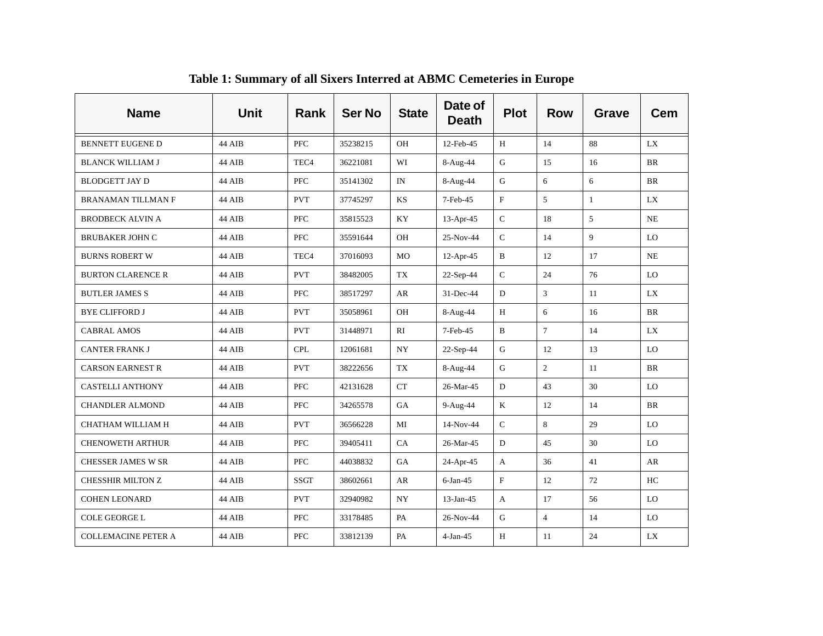| <b>Name</b>                | <b>Unit</b> | <b>Rank</b>      | <b>Ser No</b> | <b>State</b> | Date of<br><b>Death</b> | <b>Plot</b>               | <b>Row</b>     | <b>Grave</b> | <b>Cem</b> |
|----------------------------|-------------|------------------|---------------|--------------|-------------------------|---------------------------|----------------|--------------|------------|
| <b>BENNETT EUGENE D</b>    | 44 AIB      | <b>PFC</b>       | 35238215      | OH           | 12-Feb-45               | H                         | 14             | 88           | LX         |
| <b>BLANCK WILLIAM J</b>    | 44 AIB      | TEC <sub>4</sub> | 36221081      | WI           | 8-Aug-44                | G                         | 15             | 16           | <b>BR</b>  |
| <b>BLODGETT JAY D</b>      | 44 AIB      | <b>PFC</b>       | 35141302      | IN           | 8-Aug-44                | G                         | 6              | 6            | <b>BR</b>  |
| <b>BRANAMAN TILLMAN F</b>  | 44 AIB      | <b>PVT</b>       | 37745297      | KS           | 7-Feb-45                | $\boldsymbol{\mathrm{F}}$ | 5              | $\mathbf{1}$ | LX         |
| <b>BRODBECK ALVIN A</b>    | 44 AIB      | <b>PFC</b>       | 35815523      | KY           | 13-Apr-45               | $\mathsf C$               | 18             | 5            | NE         |
| <b>BRUBAKER JOHN C</b>     | 44 AIB      | <b>PFC</b>       | 35591644      | OH           | 25-Nov-44               | $\mathsf C$               | 14             | 9            | LO         |
| <b>BURNS ROBERT W</b>      | 44 AIB      | TEC <sub>4</sub> | 37016093      | MO           | $12-Apr-45$             | $\, {\bf B}$              | 12             | 17           | NE         |
| <b>BURTON CLARENCE R</b>   | 44 AIB      | <b>PVT</b>       | 38482005      | TX           | $22-Sep-44$             | $\mathcal{C}$             | 24             | 76           | LO         |
| <b>BUTLER JAMES S</b>      | 44 AIB      | <b>PFC</b>       | 38517297      | AR           | 31-Dec-44               | ${\rm D}$                 | 3              | 11           | LX         |
| <b>BYE CLIFFORD J</b>      | 44 AIB      | <b>PVT</b>       | 35058961      | OH           | $8-Aug-44$              | H                         | 6              | 16           | BR         |
| <b>CABRAL AMOS</b>         | 44 AIB      | <b>PVT</b>       | 31448971      | RI           | 7-Feb-45                | $\, {\bf B}$              | $\overline{7}$ | 14           | LX         |
| <b>CANTER FRANK J</b>      | 44 AIB      | <b>CPL</b>       | 12061681      | <b>NY</b>    | 22-Sep-44               | G                         | 12             | 13           | LO         |
| <b>CARSON EARNEST R</b>    | 44 AIB      | <b>PVT</b>       | 38222656      | TX           | 8-Aug-44                | G                         | $\overline{2}$ | 11           | BR         |
| <b>CASTELLI ANTHONY</b>    | 44 AIB      | PFC              | 42131628      | CT           | 26-Mar-45               | D                         | 43             | 30           | LO         |
| <b>CHANDLER ALMOND</b>     | 44 AIB      | <b>PFC</b>       | 34265578      | GA           | $9-Aug-44$              | K                         | 12             | 14           | <b>BR</b>  |
| CHATHAM WILLIAM H          | 44 AIB      | <b>PVT</b>       | 36566228      | MI           | 14-Nov-44               | ${\bf C}$                 | 8              | 29           | LO         |
| <b>CHENOWETH ARTHUR</b>    | 44 AIB      | <b>PFC</b>       | 39405411      | CA           | 26-Mar-45               | D                         | 45             | 30           | LO         |
| CHESSER JAMES W SR         | 44 AIB      | <b>PFC</b>       | 44038832      | GA           | 24-Apr-45               | A                         | 36             | 41           | AR         |
| <b>CHESSHIR MILTON Z</b>   | 44 AIB      | <b>SSGT</b>      | 38602661      | AR           | $6$ -Jan-45             | $\mathbf{F}$              | 12             | 72           | HC         |
| <b>COHEN LEONARD</b>       | 44 AIB      | <b>PVT</b>       | 32940982      | <b>NY</b>    | $13$ -Jan-45            | A                         | 17             | 56           | LO         |
| COLE GEORGE L              | 44 AIB      | <b>PFC</b>       | 33178485      | PA           | 26-Nov-44               | G                         | $\overline{4}$ | 14           | LO         |
| <b>COLLEMACINE PETER A</b> | 44 AIB      | <b>PFC</b>       | 33812139      | PA           | $4-Jan-45$              | H                         | 11             | 24           | LX         |

**Table 1: Summary of all Sixers Interred at ABMC Cemeteries in Europe**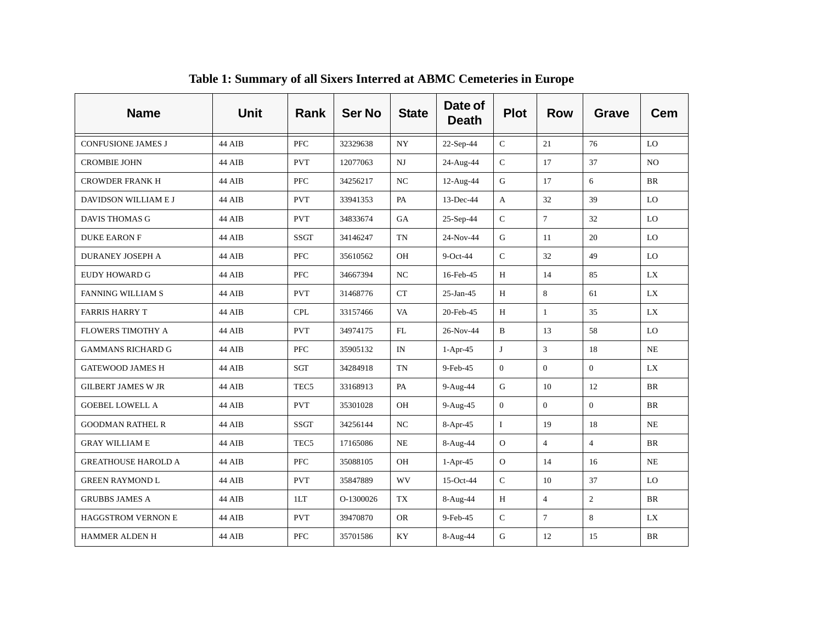| <b>Name</b>                | <b>Unit</b> | <b>Rank</b>      | <b>Ser No</b> | <b>State</b> | Date of<br><b>Death</b> | <b>Plot</b>    | <b>Row</b>     | <b>Grave</b>   | <b>Cem</b> |
|----------------------------|-------------|------------------|---------------|--------------|-------------------------|----------------|----------------|----------------|------------|
| <b>CONFUSIONE JAMES J</b>  | 44 AIB      | <b>PFC</b>       | 32329638      | NY.          | 22-Sep-44               | $\mathcal{C}$  | 21             | 76             | LO         |
| <b>CROMBIE JOHN</b>        | 44 AIB      | <b>PVT</b>       | 12077063      | $_{\rm NJ}$  | 24-Aug-44               | $\mathbf C$    | 17             | 37             | NO         |
| <b>CROWDER FRANK H</b>     | 44 AIB      | <b>PFC</b>       | 34256217      | NC           | 12-Aug-44               | G              | 17             | 6              | <b>BR</b>  |
| DAVIDSON WILLIAM E J       | 44 AIB      | <b>PVT</b>       | 33941353      | PA           | 13-Dec-44               | A              | 32             | 39             | LO         |
| <b>DAVIS THOMAS G</b>      | 44 AIB      | <b>PVT</b>       | 34833674      | GA           | 25-Sep-44               | $\mathsf C$    | $\tau$         | 32             | LO         |
| <b>DUKE EARON F</b>        | 44 AIB      | <b>SSGT</b>      | 34146247      | <b>TN</b>    | 24-Nov-44               | G              | 11             | 20             | LO         |
| <b>DURANEY JOSEPH A</b>    | 44 AIB      | <b>PFC</b>       | 35610562      | OH           | $9$ -Oct-44             | ${\bf C}$      | 32             | 49             | LO         |
| EUDY HOWARD G              | 44 AIB      | <b>PFC</b>       | 34667394      | NC           | 16-Feb-45               | H              | 14             | 85             | LX         |
| <b>FANNING WILLIAM S</b>   | 44 AIB      | <b>PVT</b>       | 31468776      | CT           | $25$ -Jan-45            | H              | 8              | 61             | <b>LX</b>  |
| <b>FARRIS HARRY T</b>      | 44 AIB      | <b>CPL</b>       | 33157466      | VA           | 20-Feb-45               | H              | $\mathbf{1}$   | 35             | LX         |
| <b>FLOWERS TIMOTHY A</b>   | 44 AIB      | <b>PVT</b>       | 34974175      | FL           | 26-Nov-44               | B              | 13             | 58             | LO         |
| <b>GAMMANS RICHARD G</b>   | 44 AIB      | <b>PFC</b>       | 35905132      | IN           | $1-Apr-45$              | J              | 3              | 18             | NE         |
| <b>GATEWOOD JAMES H</b>    | 44 AIB      | SGT              | 34284918      | TN           | 9-Feb-45                | $\mathbf{0}$   | $\overline{0}$ | $\Omega$       | LX         |
| <b>GILBERT JAMES W JR</b>  | 44 AIB      | TEC <sub>5</sub> | 33168913      | PA           | $9-Aug-44$              | G              | 10             | 12             | BR         |
| <b>GOEBEL LOWELL A</b>     | 44 AIB      | <b>PVT</b>       | 35301028      | OH           | 9-Aug-45                | $\overline{0}$ | $\overline{0}$ | $\Omega$       | <b>BR</b>  |
| <b>GOODMAN RATHEL R</b>    | 44 AIB      | <b>SSGT</b>      | 34256144      | NC           | 8-Apr-45                | $\mathbf I$    | 19             | 18             | NE         |
| <b>GRAY WILLIAM E</b>      | 44 AIB      | TEC <sub>5</sub> | 17165086      | NE           | 8-Aug-44                | $\Omega$       | $\overline{4}$ | $\overline{4}$ | <b>BR</b>  |
| <b>GREATHOUSE HAROLD A</b> | 44 AIB      | <b>PFC</b>       | 35088105      | OH           | $1-Apr-45$              | ${\rm O}$      | 14             | 16             | <b>NE</b>  |
| <b>GREEN RAYMOND L</b>     | 44 AIB      | <b>PVT</b>       | 35847889      | <b>WV</b>    | $15$ -Oct-44            | $\mathsf C$    | 10             | 37             | LO         |
| <b>GRUBBS JAMES A</b>      | 44 AIB      | 1LT              | O-1300026     | TX           | 8-Aug-44                | H              | $\overline{4}$ | $\overline{2}$ | <b>BR</b>  |
| HAGGSTROM VERNON E         | 44 AIB      | <b>PVT</b>       | 39470870      | <b>OR</b>    | 9-Feb-45                | $\mathsf{C}$   | $\overline{7}$ | 8              | LX         |
| <b>HAMMER ALDEN H</b>      | 44 AIB      | <b>PFC</b>       | 35701586      | KY           | 8-Aug-44                | G              | 12             | 15             | <b>BR</b>  |

**Table 1: Summary of all Sixers Interred at ABMC Cemeteries in Europe**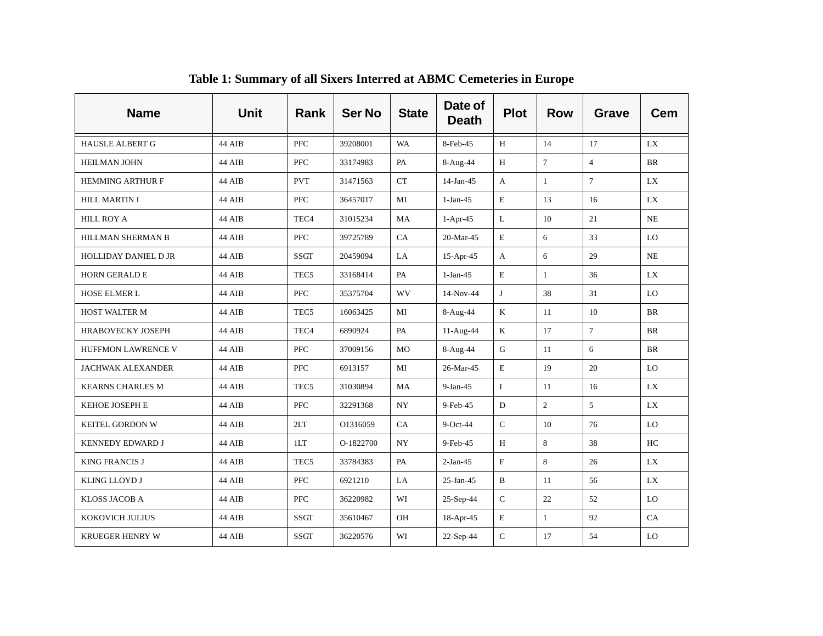| <b>Name</b>               | <b>Unit</b> | <b>Rank</b>      | <b>Ser No</b> | <b>State</b> | Date of<br><b>Death</b> | <b>Plot</b>               | <b>Row</b>     | <b>Grave</b>   | <b>Cem</b> |
|---------------------------|-------------|------------------|---------------|--------------|-------------------------|---------------------------|----------------|----------------|------------|
| <b>HAUSLE ALBERT G</b>    | 44 AIB      | <b>PFC</b>       | 39208001      | <b>WA</b>    | 8-Feb-45                | H                         | 14             | 17             | LX         |
| <b>HEILMAN JOHN</b>       | 44 AIB      | <b>PFC</b>       | 33174983      | PA           | 8-Aug-44                | H                         | $\tau$         | $\overline{4}$ | <b>BR</b>  |
| <b>HEMMING ARTHUR F</b>   | 44 AIB      | <b>PVT</b>       | 31471563      | <b>CT</b>    | $14$ -Jan-45            | A                         | $\mathbf{1}$   | $\tau$         | LX         |
| <b>HILL MARTIN I</b>      | 44 AIB      | <b>PFC</b>       | 36457017      | MI           | $1-Jan-45$              | E                         | 13             | 16             | LX         |
| <b>HILL ROY A</b>         | 44 AIB      | TEC <sub>4</sub> | 31015234      | MA           | $1-Apr-45$              | $\bf L$                   | 10             | 21             | NE         |
| HILLMAN SHERMAN B         | 44 AIB      | <b>PFC</b>       | 39725789      | CA           | 20-Mar-45               | $\mathbf E$               | 6              | 33             | LO         |
| HOLLIDAY DANIEL D JR      | 44 AIB      | <b>SSGT</b>      | 20459094      | LA           | 15-Apr-45               | A                         | 6              | 29             | NE         |
| <b>HORN GERALD E</b>      | 44 AIB      | TEC <sub>5</sub> | 33168414      | PA           | $1-Jan-45$              | $\mathbf E$               | $\mathbf{1}$   | 36             | LX         |
| HOSE ELMER L              | 44 AIB      | PFC              | 35375704      | WV           | 14-Nov-44               | J                         | 38             | 31             | LO         |
| HOST WALTER M             | 44 AIB      | TEC <sub>5</sub> | 16063425      | MI           | 8-Aug-44                | $\mathbf K$               | 11             | 10             | <b>BR</b>  |
| HRABOVECKY JOSEPH         | 44 AIB      | TEC <sub>4</sub> | 6890924       | PA           | 11-Aug-44               | $\bf K$                   | 17             | $\overline{7}$ | BR         |
| <b>HUFFMON LAWRENCE V</b> | 44 AIB      | <b>PFC</b>       | 37009156      | MO           | 8-Aug-44                | G                         | 11             | 6              | BR         |
| <b>JACHWAK ALEXANDER</b>  | 44 AIB      | <b>PFC</b>       | 6913157       | MI           | 26-Mar-45               | E                         | 19             | 20             | LO         |
| <b>KEARNS CHARLES M</b>   | 44 AIB      | TEC <sub>5</sub> | 31030894      | MA           | $9-Jan-45$              | $\mathbf I$               | 11             | 16             | LX         |
| KEHOE JOSEPH E            | 44 AIB      | <b>PFC</b>       | 32291368      | <b>NY</b>    | 9-Feb-45                | D                         | $\overline{2}$ | 5              | LX         |
| KEITEL GORDON W           | 44 AIB      | 2LT              | O1316059      | CA           | 9-Oct-44                | $\mathsf C$               | 10             | 76             | LO         |
| <b>KENNEDY EDWARD J</b>   | 44 AIB      | 1LT              | O-1822700     | <b>NY</b>    | 9-Feb-45                | H                         | 8              | 38             | HC         |
| <b>KING FRANCIS J</b>     | 44 AIB      | TEC <sub>5</sub> | 33784383      | PA           | $2-Jan-45$              | $\boldsymbol{\mathrm{F}}$ | 8              | 26             | LX         |
| KLING LLOYD J             | 44 AIB      | <b>PFC</b>       | 6921210       | LA           | $25$ -Jan-45            | $\, {\bf B}$              | 11             | 56             | <b>LX</b>  |
| <b>KLOSS JACOB A</b>      | 44 AIB      | PFC              | 36220982      | WI           | 25-Sep-44               | $\mathsf{C}$              | 22             | 52             | LO         |
| KOKOVICH JULIUS           | 44 AIB      | <b>SSGT</b>      | 35610467      | OH           | $18-Apr-45$             | $\mathbf E$               | $\mathbf{1}$   | 92             | CA         |
| <b>KRUEGER HENRY W</b>    | 44 AIB      | <b>SSGT</b>      | 36220576      | WI           | 22-Sep-44               | $\mathbf C$               | 17             | 54             | LO         |

**Table 1: Summary of all Sixers Interred at ABMC Cemeteries in Europe**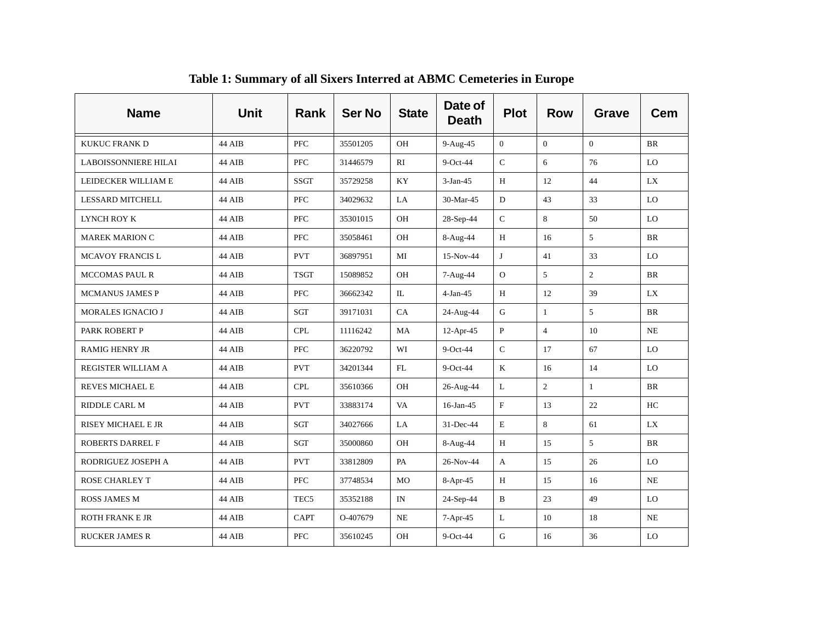| <b>Name</b>                 | <b>Unit</b>   | Rank             | <b>Ser No</b> | <b>State</b> | Date of<br><b>Death</b> | <b>Plot</b>  | <b>Row</b>     | <b>Grave</b>   | <b>Cem</b> |
|-----------------------------|---------------|------------------|---------------|--------------|-------------------------|--------------|----------------|----------------|------------|
| <b>KUKUC FRANK D</b>        | 44 AIB        | <b>PFC</b>       | 35501205      | OH           | 9-Aug-45                | $\Omega$     | $\theta$       | $\Omega$       | <b>BR</b>  |
| <b>LABOISSONNIERE HILAI</b> | 44 AIB        | <b>PFC</b>       | 31446579      | RI           | 9-Oct-44                | $\mathbf C$  | 6              | 76             | LO         |
| LEIDECKER WILLIAM E         | 44 AIB        | <b>SSGT</b>      | 35729258      | KY           | $3-Jan-45$              | H            | 12             | 44             | LX         |
| <b>LESSARD MITCHELL</b>     | 44 AIB        | <b>PFC</b>       | 34029632      | LA           | 30-Mar-45               | D            | 43             | 33             | LO         |
| LYNCH ROY K                 | 44 AIB        | PFC              | 35301015      | OH           | 28-Sep-44               | $\mathsf C$  | 8              | 50             | LO         |
| <b>MAREK MARION C</b>       | 44 AIB        | PFC              | 35058461      | OH           | 8-Aug-44                | H            | 16             | 5              | <b>BR</b>  |
| <b>MCAVOY FRANCIS L</b>     | 44 AIB        | <b>PVT</b>       | 36897951      | MI           | 15-Nov-44               | J            | 41             | 33             | LO         |
| <b>MCCOMAS PAUL R</b>       | 44 AIB        | <b>TSGT</b>      | 15089852      | OH           | $7-Aug-44$              | $\mathbf{O}$ | 5              | $\overline{2}$ | <b>BR</b>  |
| <b>MCMANUS JAMES P</b>      | 44 AIB        | <b>PFC</b>       | 36662342      | IL           | $4-Jan-45$              | Н            | 12             | 39             | LX         |
| <b>MORALES IGNACIO J</b>    | 44 AIB        | SGT              | 39171031      | CA           | 24-Aug-44               | G            | $\mathbf{1}$   | 5              | <b>BR</b>  |
| PARK ROBERT P               | 44 AIB        | <b>CPL</b>       | 11116242      | MA           | $12-Apr-45$             | $\, {\bf P}$ | $\overline{4}$ | 10             | NE         |
| <b>RAMIGHENRY JR</b>        | <b>44 AIB</b> | PFC.             | 36220792      | WI           | $9$ -Oct-44             | $\mathsf{C}$ | 17             | 67             | LO         |
| REGISTER WILLIAM A          | 44 AIB        | <b>PVT</b>       | 34201344      | FL           | $9$ -Oct-44             | K            | 16             | 14             | LO         |
| REVES MICHAEL E             | 44 AIB        | <b>CPL</b>       | 35610366      | OH           | 26-Aug-44               | $\mathbf L$  | $\overline{2}$ | $\mathbf{1}$   | BR         |
| RIDDLE CARL M               | 44 AIB        | <b>PVT</b>       | 33883174      | VA           | $16$ -Jan-45            | $\mathbf{F}$ | 13             | 22             | HC         |
| RISEY MICHAEL E JR          | 44 AIB        | <b>SGT</b>       | 34027666      | LA           | 31-Dec-44               | $\mathbf E$  | 8              | 61             | LX         |
| <b>ROBERTS DARREL F</b>     | 44 AIB        | SGT              | 35000860      | OH           | 8-Aug-44                | H            | 15             | 5              | <b>BR</b>  |
| RODRIGUEZ JOSEPH A          | 44 AIB        | <b>PVT</b>       | 33812809      | PA           | 26-Nov-44               | $\mathbf{A}$ | 15             | 26             | LO         |
| <b>ROSE CHARLEY T</b>       | 44 AIB        | PFC              | 37748534      | <b>MO</b>    | $8-Apr-45$              | H            | 15             | 16             | NE         |
| <b>ROSS JAMES M</b>         | 44 AIB        | TEC <sub>5</sub> | 35352188      | IN           | 24-Sep-44               | B            | 23             | 49             | LO         |
| <b>ROTH FRANK E JR</b>      | 44 AIB        | CAPT             | O-407679      | NE           | $7-Apr-45$              | $\mathbf L$  | 10             | 18             | <b>NE</b>  |
| <b>RUCKER JAMES R</b>       | 44 AIB        | <b>PFC</b>       | 35610245      | OH           | 9-Oct-44                | $\mathbf G$  | 16             | 36             | LO         |

**Table 1: Summary of all Sixers Interred at ABMC Cemeteries in Europe**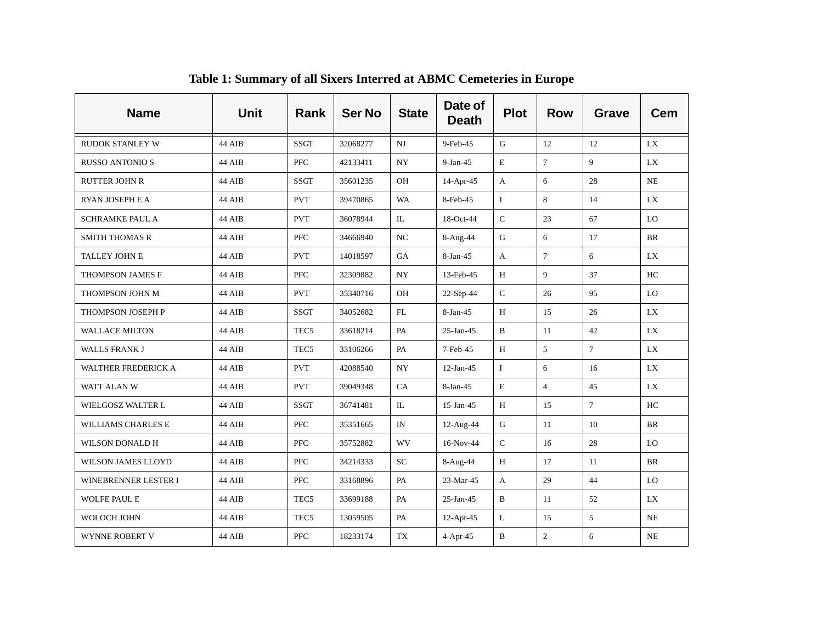| <b>Name</b>                | <b>Unit</b> | Rank             | <b>Ser No</b> | <b>State</b> | Date of<br><b>Death</b> | <b>Plot</b>  | <b>Row</b>     | <b>Grave</b>   | <b>Cem</b> |
|----------------------------|-------------|------------------|---------------|--------------|-------------------------|--------------|----------------|----------------|------------|
| <b>RUDOK STANLEY W</b>     | 44 AIB      | <b>SSGT</b>      | 32068277      | $_{\rm NJ}$  | 9-Feb-45                | G            | 12             | 12             | LX         |
| <b>RUSSO ANTONIO S</b>     | 44 AIB      | <b>PFC</b>       | 42133411      | ${\rm NY}$   | $9-Jan-45$              | $\mathbf E$  | $\overline{7}$ | 9              | LX         |
| <b>RUTTER JOHN R</b>       | 44 AIB      | <b>SSGT</b>      | 35601235      | OH           | 14-Apr-45               | A            | 6              | 28             | NE         |
| RYAN JOSEPH E A            | 44 AIB      | <b>PVT</b>       | 39470865      | <b>WA</b>    | 8-Feb-45                | $\mathbf I$  | 8              | 14             | LX         |
| <b>SCHRAMKE PAUL A</b>     | 44 AIB      | <b>PVT</b>       | 36078944      | IL           | 18-Oct-44               | $\mathsf C$  | 23             | 67             | LO         |
| <b>SMITH THOMAS R</b>      | 44 AIB      | <b>PFC</b>       | 34666940      | NC           | 8-Aug-44                | G            | 6              | 17             | <b>BR</b>  |
| TALLEY JOHN E              | 44 AIB      | <b>PVT</b>       | 14018597      | GA           | 8-Jan-45                | A            | $\tau$         | 6              | LX         |
| THOMPSON JAMES F           | 44 AIB      | <b>PFC</b>       | 32309882      | <b>NY</b>    | 13-Feb-45               | H            | 9              | 37             | HC         |
| THOMPSON JOHN M            | 44 AIB      | <b>PVT</b>       | 35340716      | OH           | 22-Sep-44               | ${\bf C}$    | 26             | 95             | LO         |
| THOMPSON JOSEPH P          | 44 AIB      | <b>SSGT</b>      | 34052682      | FL           | $8-Jan-45$              | H            | 15             | 26             | LX         |
| <b>WALLACE MILTON</b>      | 44 AIB      | TEC <sub>5</sub> | 33618214      | PA           | $25$ -Jan-45            | B            | 11             | 42             | LX         |
| <b>WALLS FRANK J</b>       | 44 AIB      | TEC <sub>5</sub> | 33106266      | PA           | 7-Feb-45                | H            | 5              | 7 <sup>1</sup> | LX         |
| <b>WALTHER FREDERICK A</b> | 44 AIB      | <b>PVT</b>       | 42088540      | <b>NY</b>    | $12-Jan-45$             | $\mathbf I$  | 6              | 16             | LX         |
| WATT ALAN W                | 44 AIB      | <b>PVT</b>       | 39049348      | CA           | 8-Jan-45                | E            | $\overline{4}$ | 45             | LX         |
| WIELGOSZ WALTER L          | 44 AIB      | <b>SSGT</b>      | 36741481      | IL           | $15$ -Jan-45            | H            | 15             | 7 <sup>1</sup> | HC         |
| WILLIAMS CHARLES E         | 44 AIB      | <b>PFC</b>       | 35351665      | IN           | 12-Aug-44               | ${\bf G}$    | 11             | 10             | <b>BR</b>  |
| WILSON DONALD H            | 44 AIB      | <b>PFC</b>       | 35752882      | <b>WV</b>    | 16-Nov-44               | $\mathsf C$  | 16             | 28             | LO         |
| <b>WILSON JAMES LLOYD</b>  | 44 AIB      | <b>PFC</b>       | 34214333      | SC           | 8-Aug-44                | H            | 17             | 11             | <b>BR</b>  |
| WINEBRENNER LESTER I       | 44 AIB      | <b>PFC</b>       | 33168896      | PA           | 23-Mar-45               | $\mathbf{A}$ | 29             | 44             | LO         |
| <b>WOLFE PAUL E</b>        | 44 AIB      | TEC <sub>5</sub> | 33699188      | PA           | $25$ -Jan-45            | B            | 11             | 52             | LX         |
| WOLOCH JOHN                | 44 AIB      | TEC <sub>5</sub> | 13059505      | PA           | $12-Apr-45$             | L            | 15             | 5 <sup>1</sup> | NE         |
| WYNNE ROBERT V             | 44 AIB      | <b>PFC</b>       | 18233174      | TX           | 4-Apr-45                | B            | $\overline{c}$ | 6              | NE         |

**Table 1: Summary of all Sixers Interred at ABMC Cemeteries in Europe**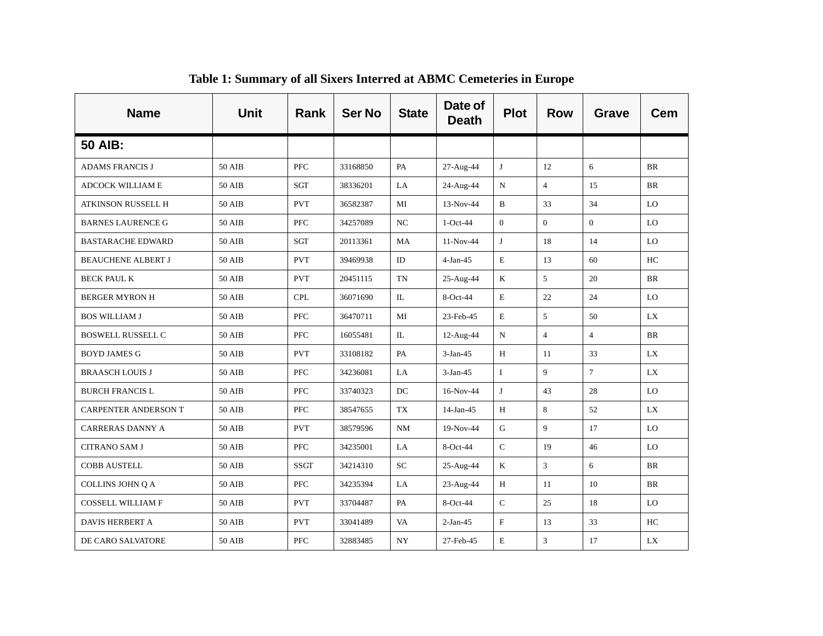| <b>Name</b>                 | <b>Unit</b>   | Rank        | <b>Ser No</b> | <b>State</b> | Date of<br><b>Death</b> | <b>Plot</b>    | <b>Row</b>     | <b>Grave</b>    | <b>Cem</b> |
|-----------------------------|---------------|-------------|---------------|--------------|-------------------------|----------------|----------------|-----------------|------------|
| <b>50 AIB:</b>              |               |             |               |              |                         |                |                |                 |            |
| <b>ADAMS FRANCIS J</b>      | 50 AIB        | <b>PFC</b>  | 33168850      | PA           | 27-Aug-44               | J              | 12             | 6               | <b>BR</b>  |
| <b>ADCOCK WILLIAM E</b>     | 50 AIB        | SGT         | 38336201      | LA           | 24-Aug-44               | N              | $\overline{4}$ | 15              | <b>BR</b>  |
| ATKINSON RUSSELL H          | 50 AIB        | <b>PVT</b>  | 36582387      | MI           | 13-Nov-44               | B              | 33             | 34              | LO         |
| <b>BARNES LAURENCE G</b>    | 50 AIB        | <b>PFC</b>  | 34257089      | NC           | $1-Oct-44$              | $\overline{0}$ | $\overline{0}$ | $\Omega$        | LO         |
| <b>BASTARACHE EDWARD</b>    | 50 AIB        | SGT         | 20113361      | MA           | $11-Nov-44$             | J              | 18             | 14              | LO         |
| <b>BEAUCHENE ALBERT J</b>   | 50 AIB        | <b>PVT</b>  | 39469938      | ID           | $4-Jan-45$              | E              | 13             | 60              | HC         |
| <b>BECK PAUL K</b>          | 50 AIB        | <b>PVT</b>  | 20451115      | TN           | 25-Aug-44               | K              | 5              | 20              | BR         |
| <b>BERGER MYRON H</b>       | 50 AIB        | <b>CPL</b>  | 36071690      | IL           | $8-Oct-44$              | E              | 22             | 24              | LO         |
| <b>BOS WILLIAM J</b>        | 50 AIB        | <b>PFC</b>  | 36470711      | MI           | 23-Feb-45               | $\mathbf E$    | 5              | 50              | LX         |
| <b>BOSWELL RUSSELL C</b>    | <b>50 AIB</b> | <b>PFC</b>  | 16055481      | IL           | 12-Aug-44               | N              | $\overline{4}$ | $\overline{4}$  | <b>BR</b>  |
| <b>BOYD JAMES G</b>         | <b>50 AIB</b> | <b>PVT</b>  | 33108182      | PA           | $3-Jan-45$              | $\, {\rm H}$   | 11             | 33              | LX         |
| <b>BRAASCH LOUIS J</b>      | 50 AIB        | <b>PFC</b>  | 34236081      | LA           | $3-Jan-45$              | $\mathbf I$    | 9              | $7\overline{ }$ | LX         |
| <b>BURCH FRANCIS L</b>      | 50 AIB        | <b>PFC</b>  | 33740323      | DC           | 16-Nov-44               | J              | 43             | 28              | LO         |
| <b>CARPENTER ANDERSON T</b> | 50 AIB        | ${\rm PFC}$ | 38547655      | TX           | $14$ -Jan-45            | H              | 8              | 52              | LX         |
| <b>CARRERAS DANNY A</b>     | 50 AIB        | <b>PVT</b>  | 38579596      | <b>NM</b>    | 19-Nov-44               | ${\bf G}$      | 9              | 17              | LO         |
| <b>CITRANO SAM J</b>        | 50 AIB        | <b>PFC</b>  | 34235001      | LA           | 8-Oct-44                | $\mathsf{C}$   | 19             | 46              | LO         |
| <b>COBB AUSTELL</b>         | 50 AIB        | <b>SSGT</b> | 34214310      | <b>SC</b>    | 25-Aug-44               | K              | $\mathbf{3}$   | 6               | <b>BR</b>  |
| COLLINS JOHN Q A            | 50 AIB        | <b>PFC</b>  | 34235394      | LA           | 23-Aug-44               | H              | 11             | 10              | BR         |
| COSSELL WILLIAM F           | 50 AIB        | <b>PVT</b>  | 33704487      | PA           | 8-Oct-44                | $\mathsf{C}$   | 25             | 18              | LO         |
| <b>DAVIS HERBERT A</b>      | 50 AIB        | <b>PVT</b>  | 33041489      | VA           | $2-Jan-45$              | $\mathbf{F}$   | 13             | 33              | HC         |
| DE CARO SALVATORE           | <b>50 AIB</b> | <b>PFC</b>  | 32883485      | ${\rm NY}$   | 27-Feb-45               | E              | 3              | 17              | LX         |

**Table 1: Summary of all Sixers Interred at ABMC Cemeteries in Europe**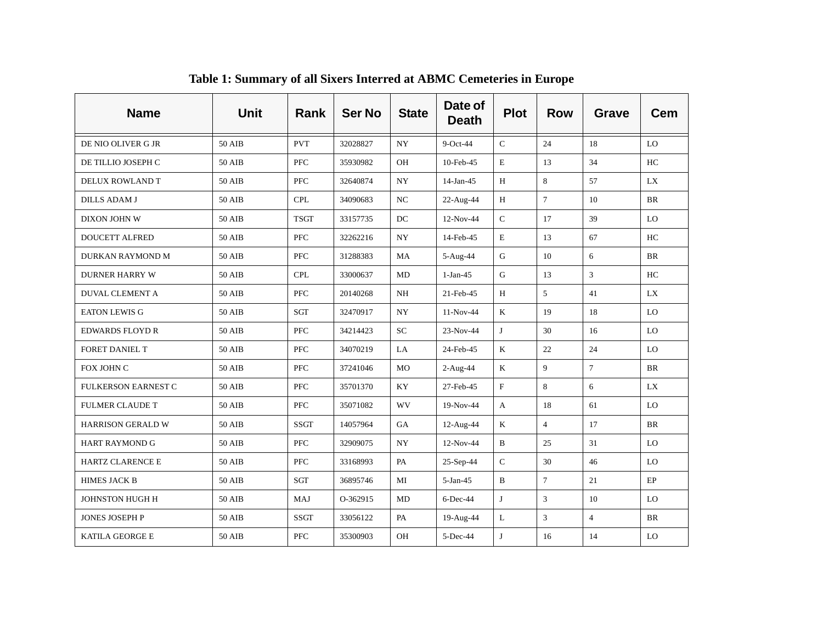| <b>Name</b>                | <b>Unit</b>   | Rank        | <b>Ser No</b> | <b>State</b>     | Date of<br><b>Death</b> | <b>Plot</b>  | <b>Row</b>     | <b>Grave</b>   | <b>Cem</b> |
|----------------------------|---------------|-------------|---------------|------------------|-------------------------|--------------|----------------|----------------|------------|
| DE NIO OLIVER G JR         | 50 AIB        | <b>PVT</b>  | 32028827      | <b>NY</b>        | $9$ -Oct-44             | $\mathsf{C}$ | 24             | 18             | LO         |
| DE TILLIO JOSEPH C         | 50 AIB        | <b>PFC</b>  | 35930982      | OH               | 10-Feb-45               | E            | 13             | 34             | HC         |
| DELUX ROWLAND T            | <b>50 AIB</b> | PFC         | 32640874      | <b>NY</b>        | $14$ -Jan-45            | Н            | 8              | 57             | LX         |
| <b>DILLS ADAM J</b>        | 50 AIB        | <b>CPL</b>  | 34090683      | NC               | 22-Aug-44               | H            | $\overline{7}$ | 10             | <b>BR</b>  |
| DIXON JOHN W               | <b>50 AIB</b> | <b>TSGT</b> | 33157735      | $_{\mathrm{DC}}$ | 12-Nov-44               | ${\bf C}$    | 17             | 39             | LO         |
| <b>DOUCETT ALFRED</b>      | 50 AIB        | PFC         | 32262216      | <b>NY</b>        | 14-Feb-45               | $\mathbf E$  | 13             | 67             | HC         |
| DURKAN RAYMOND M           | <b>50 AIB</b> | <b>PFC</b>  | 31288383      | MA               | 5-Aug-44                | ${\bf G}$    | 10             | 6              | <b>BR</b>  |
| <b>DURNER HARRY W</b>      | 50 AIB        | <b>CPL</b>  | 33000637      | MD               | $1-Jan-45$              | ${\bf G}$    | 13             | 3              | HC         |
| <b>DUVAL CLEMENT A</b>     | 50 AIB        | <b>PFC</b>  | 20140268      | NH               | 21-Feb-45               | H            | 5              | 41             | LX         |
| <b>EATON LEWIS G</b>       | <b>50 AIB</b> | SGT         | 32470917      | $_{\mathrm{NY}}$ | 11-Nov-44               | $\bf K$      | 19             | 18             | LO         |
| <b>EDWARDS FLOYD R</b>     | 50 AIB        | <b>PFC</b>  | 34214423      | <b>SC</b>        | 23-Nov-44               | J            | 30             | 16             | LO         |
| <b>FORET DANIEL T</b>      | 50 AIB        | <b>PFC</b>  | 34070219      | LA               | 24-Feb-45               | K            | 22             | 24             | LO         |
| FOX JOHN C                 | 50 AIB        | PFC         | 37241046      | MO               | 2-Aug-44                | $\bf K$      | 9              | $\overline{7}$ | <b>BR</b>  |
| <b>FULKERSON EARNEST C</b> | 50 AIB        | <b>PFC</b>  | 35701370      | KY               | 27-Feb-45               | $\mathbf{F}$ | 8              | 6              | LX         |
| <b>FULMER CLAUDE T</b>     | <b>50 AIB</b> | PFC         | 35071082      | <b>WV</b>        | 19-Nov-44               | $\mathbf{A}$ | 18             | 61             | LO         |
| <b>HARRISON GERALD W</b>   | 50 AIB        | <b>SSGT</b> | 14057964      | GA               | 12-Aug-44               | $\bf K$      | $\overline{4}$ | 17             | <b>BR</b>  |
| <b>HART RAYMOND G</b>      | 50 AIB        | PFC         | 32909075      | <b>NY</b>        | 12-Nov-44               | $\mathbf B$  | 25             | 31             | LO         |
| <b>HARTZ CLARENCE E</b>    | <b>50 AIB</b> | PFC         | 33168993      | PA               | 25-Sep-44               | ${\bf C}$    | 30             | 46             | LO         |
| <b>HIMES JACK B</b>        | 50 AIB        | SGT         | 36895746      | MI               | $5-Jan-45$              | $\, {\bf B}$ | $\overline{7}$ | 21             | EP         |
| JOHNSTON HUGH H            | 50 AIB        | MAJ         | O-362915      | MD               | $6$ -Dec-44             | J            | $\overline{3}$ | 10             | LO         |
| JONES JOSEPH P             | 50 AIB        | <b>SSGT</b> | 33056122      | PA               | 19-Aug-44               | L            | 3              | $\overline{4}$ | <b>BR</b>  |
| KATILA GEORGE E            | 50 AIB        | <b>PFC</b>  | 35300903      | OH               | 5-Dec-44                | J            | 16             | 14             | LO         |

**Table 1: Summary of all Sixers Interred at ABMC Cemeteries in Europe**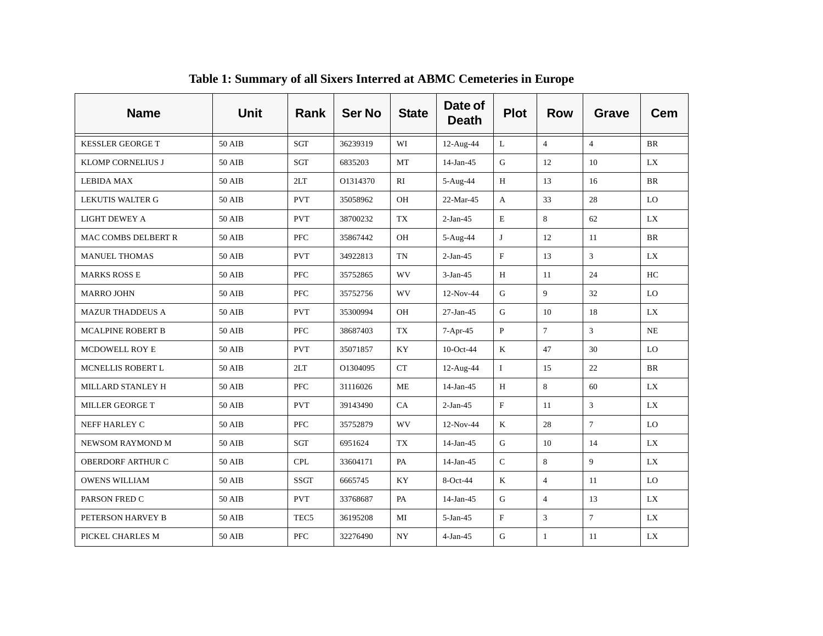| <b>Name</b>                | <b>Unit</b>   | Rank             | <b>Ser No</b> | <b>State</b> | Date of<br><b>Death</b> | <b>Plot</b>               | <b>Row</b>     | <b>Grave</b>    | <b>Cem</b> |
|----------------------------|---------------|------------------|---------------|--------------|-------------------------|---------------------------|----------------|-----------------|------------|
| <b>KESSLER GEORGE T</b>    | 50 AIB        | SGT              | 36239319      | WI           | 12-Aug-44               | L                         | $\overline{4}$ | $\overline{4}$  | BR         |
| KLOMP CORNELIUS J          | 50 AIB        | SGT              | 6835203       | MT           | $14$ -Jan-45            | G                         | 12             | 10              | LX         |
| <b>LEBIDA MAX</b>          | 50 AIB        | 2LT              | O1314370      | RI           | 5-Aug-44                | H                         | 13             | 16              | <b>BR</b>  |
| <b>LEKUTIS WALTER G</b>    | 50 AIB        | <b>PVT</b>       | 35058962      | OH           | 22-Mar-45               | A                         | 33             | 28              | LO         |
| <b>LIGHT DEWEY A</b>       | 50 AIB        | <b>PVT</b>       | 38700232      | TX           | $2-Jan-45$              | $\mathbf E$               | 8              | 62              | LX         |
| <b>MAC COMBS DELBERT R</b> | 50 AIB        | <b>PFC</b>       | 35867442      | OH           | 5-Aug-44                | J                         | 12             | 11              | <b>BR</b>  |
| <b>MANUEL THOMAS</b>       | 50 AIB        | <b>PVT</b>       | 34922813      | <b>TN</b>    | $2-Jan-45$              | $\mathbf F$               | 13             | $\overline{3}$  | LX         |
| <b>MARKS ROSS E</b>        | 50 AIB        | <b>PFC</b>       | 35752865      | <b>WV</b>    | $3-Jan-45$              | H                         | 11             | 24              | HC         |
| <b>MARRO JOHN</b>          | <b>50 AIB</b> | <b>PFC</b>       | 35752756      | WV           | 12-Nov-44               | ${\bf G}$                 | 9              | 32              | LO         |
| <b>MAZUR THADDEUS A</b>    | 50 AIB        | <b>PVT</b>       | 35300994      | OH           | $27-Ian-45$             | G                         | 10             | 18              | LX         |
| <b>MCALPINE ROBERT B</b>   | <b>50 AIB</b> | <b>PFC</b>       | 38687403      | TX           | 7-Apr-45                | $\, {\bf P}$              | $\overline{7}$ | $\mathfrak{Z}$  | NE         |
| <b>MCDOWELL ROY E</b>      | 50 AIB        | <b>PVT</b>       | 35071857      | KY           | $10$ -Oct-44            | K                         | 47             | 30              | LO         |
| MCNELLIS ROBERT L          | 50 AIB        | 2LT              | O1304095      | CT           | 12-Aug-44               | $\mathbf I$               | 15             | 22              | <b>BR</b>  |
| MILLARD STANLEY H          | <b>50 AIB</b> | PFC              | 31116026      | <b>ME</b>    | $14$ -Jan-45            | H                         | 8              | 60              | LX         |
| MILLER GEORGE T            | 50 AIB        | <b>PVT</b>       | 39143490      | CA           | $2-Jan-45$              | $\boldsymbol{\mathrm{F}}$ | 11             | $\mathfrak{Z}$  | <b>LX</b>  |
| NEFF HARLEY C              | 50 AIB        | <b>PFC</b>       | 35752879      | WV           | 12-Nov-44               | $\bf K$                   | 28             | $7\overline{ }$ | LO         |
| NEWSOM RAYMOND M           | 50 AIB        | <b>SGT</b>       | 6951624       | TX           | $14$ -Jan-45            | G                         | 10             | 14              | <b>LX</b>  |
| OBERDORF ARTHUR C          | 50 AIB        | <b>CPL</b>       | 33604171      | PA           | $14$ -Jan-45            | $\mathsf C$               | 8              | 9               | LX         |
| <b>OWENS WILLIAM</b>       | 50 AIB        | <b>SSGT</b>      | 6665745       | <b>KY</b>    | 8-Oct-44                | K                         | $\overline{4}$ | 11              | LO         |
| PARSON FRED C              | <b>50 AIB</b> | <b>PVT</b>       | 33768687      | PA           | $14$ -Jan-45            | ${\bf G}$                 | $\overline{4}$ | 13              | LX         |
| PETERSON HARVEY B          | 50 AIB        | TEC <sub>5</sub> | 36195208      | MI           | $5-Jan-45$              | $\boldsymbol{\mathrm{F}}$ | $\mathfrak{Z}$ | $\overline{7}$  | LX         |
| PICKEL CHARLES M           | 50 AIB        | <b>PFC</b>       | 32276490      | <b>NY</b>    | $4-Jan-45$              | G                         | $\mathbf{1}$   | 11              | LX         |

**Table 1: Summary of all Sixers Interred at ABMC Cemeteries in Europe**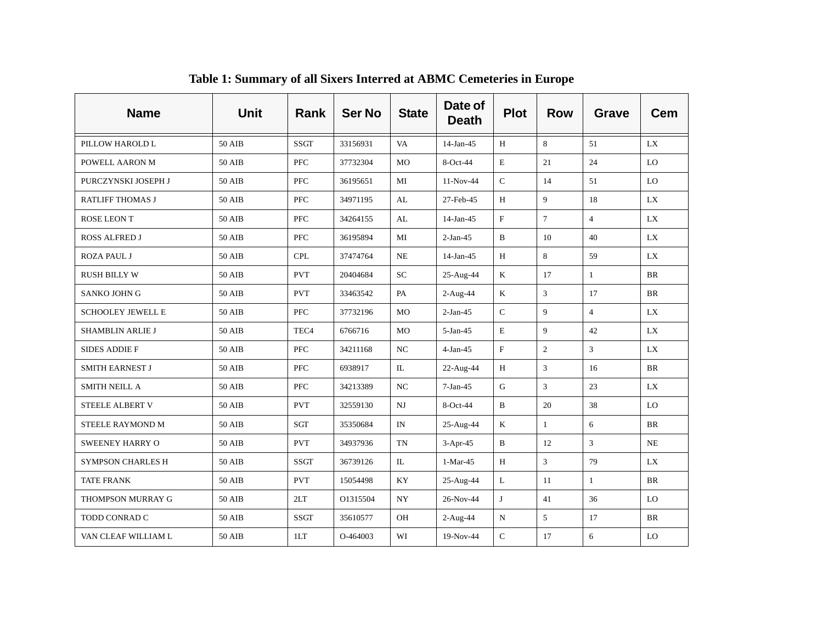| <b>Name</b>              | <b>Unit</b>   | <b>Rank</b>      | <b>Ser No</b> | <b>State</b>             | Date of<br><b>Death</b> | <b>Plot</b>  | <b>Row</b>     | <b>Grave</b>   | <b>Cem</b> |
|--------------------------|---------------|------------------|---------------|--------------------------|-------------------------|--------------|----------------|----------------|------------|
| PILLOW HAROLD L          | 50 AIB        | <b>SSGT</b>      | 33156931      | <b>VA</b>                | $14-Jan-45$             | H            | 8              | 51             | LX         |
| POWELL AARON M           | <b>50 AIB</b> | <b>PFC</b>       | 37732304      | <b>MO</b>                | 8-Oct-44                | $\mathbf E$  | 21             | 24             | LO         |
| PURCZYNSKI JOSEPH J      | 50 AIB        | <b>PFC</b>       | 36195651      | MI                       | $11-Nov-44$             | $\mathbf C$  | 14             | 51             | LO         |
| <b>RATLIFF THOMAS J</b>  | 50 AIB        | <b>PFC</b>       | 34971195      | AL                       | 27-Feb-45               | H            | 9              | 18             | LX         |
| ROSE LEON T              | <b>50 AIB</b> | PFC              | 34264155      | AL                       | $14$ -Jan-45            | $\mathbf F$  | $\tau$         | $\overline{4}$ | LX         |
| <b>ROSS ALFRED J</b>     | 50 AIB        | PFC              | 36195894      | MI                       | $2-Jan-45$              | $\mathbf{B}$ | 10             | 40             | <b>LX</b>  |
| <b>ROZA PAUL J</b>       | <b>50 AIB</b> | <b>CPL</b>       | 37474764      | NE                       | $14-Jan-45$             | Н            | 8              | 59             | LX         |
| <b>RUSH BILLY W</b>      | 50 AIB        | <b>PVT</b>       | 20404684      | ${\rm SC}$               | 25-Aug-44               | $\mathbf K$  | 17             | $\mathbf{1}$   | <b>BR</b>  |
| SANKO JOHN G             | 50 AIB        | <b>PVT</b>       | 33463542      | PA                       | 2-Aug-44                | K            | $\overline{3}$ | 17             | <b>BR</b>  |
| <b>SCHOOLEY JEWELL E</b> | 50 AIB        | <b>PFC</b>       | 37732196      | <b>MO</b>                | $2-Jan-45$              | $\mathsf C$  | 9              | $\overline{4}$ | LX         |
| SHAMBLIN ARLIE J         | 50 AIB        | TEC <sub>4</sub> | 6766716       | MO                       | $5-Jan-45$              | $\mathbf E$  | 9              | 42             | LX         |
| <b>SIDES ADDIE F</b>     | 50 AIB        | PFC              | 34211168      | NC                       | $4-Jan-45$              | $\mathbf F$  | $\overline{2}$ | $\mathfrak{Z}$ | LX         |
| <b>SMITH EARNEST J</b>   | 50 AIB        | <b>PFC</b>       | 6938917       | $\mathbb{L}$             | 22-Aug-44               | H            | 3              | 16             | <b>BR</b>  |
| <b>SMITH NEILL A</b>     | 50 AIB        | PFC              | 34213389      | $_{\mathrm{NC}}$         | $7-Jan-45$              | ${\bf G}$    | $\overline{3}$ | 23             | LX         |
| STEELE ALBERT V          | 50 AIB        | <b>PVT</b>       | 32559130      | $_{\rm NJ}$              | $8-Oct-44$              | $\, {\bf B}$ | 20             | 38             | LO         |
| STEELE RAYMOND M         | <b>50 AIB</b> | <b>SGT</b>       | 35350684      | $\ensuremath{\text{IN}}$ | 25-Aug-44               | $\rm K$      | $\mathbf{1}$   | 6              | <b>BR</b>  |
| <b>SWEENEY HARRY O</b>   | 50 AIB        | <b>PVT</b>       | 34937936      | <b>TN</b>                | $3-Apr-45$              | $\, {\bf B}$ | 12             | $\mathfrak{Z}$ | NE         |
| <b>SYMPSON CHARLES H</b> | <b>50 AIB</b> | <b>SSGT</b>      | 36739126      | IL                       | $1-Mar-45$              | H            | 3              | 79             | LX         |
| <b>TATE FRANK</b>        | 50 AIB        | <b>PVT</b>       | 15054498      | KY                       | 25-Aug-44               | $\mathbf L$  | 11             | $\mathbf{1}$   | <b>BR</b>  |
| THOMPSON MURRAY G        | 50 AIB        | 2LT              | O1315504      | <b>NY</b>                | 26-Nov-44               | J            | 41             | 36             | LO         |
| TODD CONRAD C            | 50 AIB        | <b>SSGT</b>      | 35610577      | OH                       | $2-Aug-44$              | $\mathbf N$  | 5              | 17             | <b>BR</b>  |
| VAN CLEAF WILLIAM L      | 50 AIB        | 1LT              | O-464003      | WI                       | 19-Nov-44               | $\mathsf{C}$ | 17             | 6              | LO         |

**Table 1: Summary of all Sixers Interred at ABMC Cemeteries in Europe**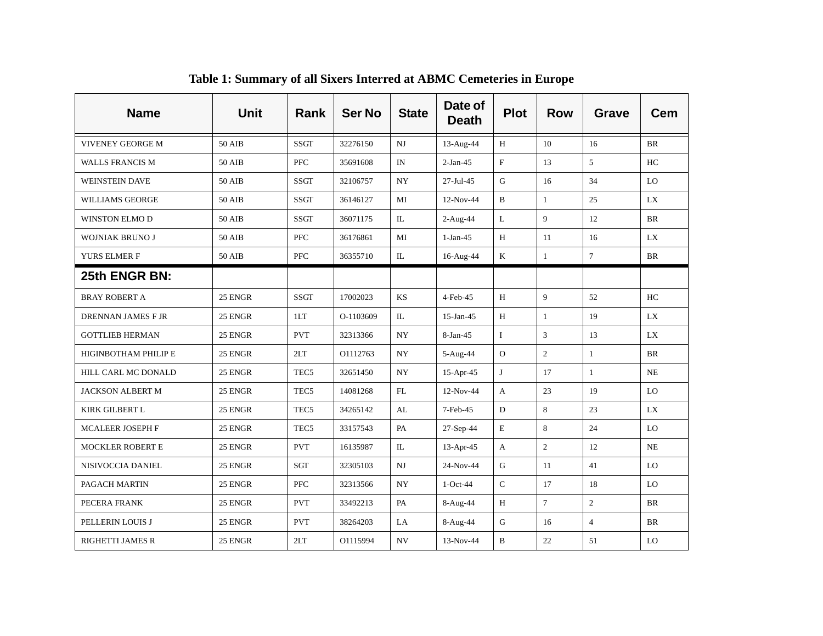| <b>Name</b>             | <b>Unit</b>   | Rank             | <b>Ser No</b> | <b>State</b>     | Date of<br><b>Death</b> | <b>Plot</b>  | <b>Row</b>     | <b>Grave</b>   | <b>Cem</b> |
|-------------------------|---------------|------------------|---------------|------------------|-------------------------|--------------|----------------|----------------|------------|
| VIVENEY GEORGE M        | 50 AIB        | <b>SSGT</b>      | 32276150      | $_{\rm NJ}$      | 13-Aug-44               | H            | 10             | 16             | <b>BR</b>  |
| <b>WALLS FRANCIS M</b>  | 50 AIB        | <b>PFC</b>       | 35691608      | IN               | $2-Jan-45$              | $\rm F$      | 13             | 5              | HC         |
| <b>WEINSTEIN DAVE</b>   | 50 AIB        | <b>SSGT</b>      | 32106757      | $_{\mathrm{NY}}$ | $27$ -Jul-45            | ${\bf G}$    | 16             | 34             | LO         |
| WILLIAMS GEORGE         | 50 AIB        | <b>SSGT</b>      | 36146127      | MI               | 12-Nov-44               | $\, {\bf B}$ | $\mathbf{1}$   | 25             | LX         |
| WINSTON ELMO D          | <b>50 AIB</b> | <b>SSGT</b>      | 36071175      | IL               | $2-Aug-44$              | L            | 9              | 12             | BR         |
| <b>WOJNIAK BRUNO J</b>  | <b>50 AIB</b> | <b>PFC</b>       | 36176861      | MI               | $1-Jan-45$              | H            | 11             | 16             | LX         |
| YURS ELMER F            | 50 AIB        | <b>PFC</b>       | 36355710      | IL               | 16-Aug-44               | $\bf K$      | $\mathbf{1}$   | $\tau$         | BR         |
| 25th ENGR BN:           |               |                  |               |                  |                         |              |                |                |            |
| <b>BRAY ROBERT A</b>    | 25 ENGR       | <b>SSGT</b>      | 17002023      | KS               | 4-Feb-45                | H            | 9              | 52             | HC         |
| DRENNAN JAMES F JR      | 25 ENGR       | 1LT              | O-1103609     | IL               | 15-Jan-45               | H            | $\mathbf{1}$   | 19             | LX         |
| <b>GOTTLIEB HERMAN</b>  | 25 ENGR       | <b>PVT</b>       | 32313366      | <b>NY</b>        | $8-Jan-45$              | $\mathbf I$  | $\mathfrak{Z}$ | 13             | <b>LX</b>  |
| HIGINBOTHAM PHILIP E    | 25 ENGR       | 2LT              | O1112763      | $_{\mathrm{NY}}$ | 5-Aug-44                | $\mathbf{O}$ | $\overline{2}$ | $\mathbf{1}$   | <b>BR</b>  |
| HILL CARL MC DONALD     | 25 ENGR       | TEC <sub>5</sub> | 32651450      | <b>NY</b>        | 15-Apr-45               | J            | 17             | $\mathbf{1}$   | NE         |
| <b>JACKSON ALBERT M</b> | 25 ENGR       | TEC <sub>5</sub> | 14081268      | $\rm FL$         | 12-Nov-44               | A            | 23             | 19             | LO         |
| KIRK GILBERT L          | 25 ENGR       | TEC <sub>5</sub> | 34265142      | AL               | 7-Feb-45                | D            | 8              | 23             | LX         |
| <b>MCALEER JOSEPH F</b> | 25 ENGR       | TEC <sub>5</sub> | 33157543      | PA               | 27-Sep-44               | $\mathbf E$  | 8              | 24             | LO         |
| <b>MOCKLER ROBERT E</b> | 25 ENGR       | <b>PVT</b>       | 16135987      | IL               | $13-Apr-45$             | A            | $\overline{c}$ | 12             | <b>NE</b>  |
| NISIVOCCIA DANIEL       | 25 ENGR       | SGT              | 32305103      | NJ               | 24-Nov-44               | G            | 11             | 41             | LO         |
| PAGACH MARTIN           | 25 ENGR       | <b>PFC</b>       | 32313566      | <b>NY</b>        | $1-Oct-44$              | $\mathsf{C}$ | 17             | 18             | LO         |
| PECERA FRANK            | 25 ENGR       | <b>PVT</b>       | 33492213      | PA               | 8-Aug-44                | H            | $\tau$         | $\overline{c}$ | <b>BR</b>  |
| PELLERIN LOUIS J        | 25 ENGR       | <b>PVT</b>       | 38264203      | LA               | 8-Aug-44                | G            | 16             | $\overline{4}$ | BR         |
| <b>RIGHETTI JAMES R</b> | 25 ENGR       | 2LT              | O1115994      | NV               | 13-Nov-44               | B            | 22             | 51             | LO         |

**Table 1: Summary of all Sixers Interred at ABMC Cemeteries in Europe**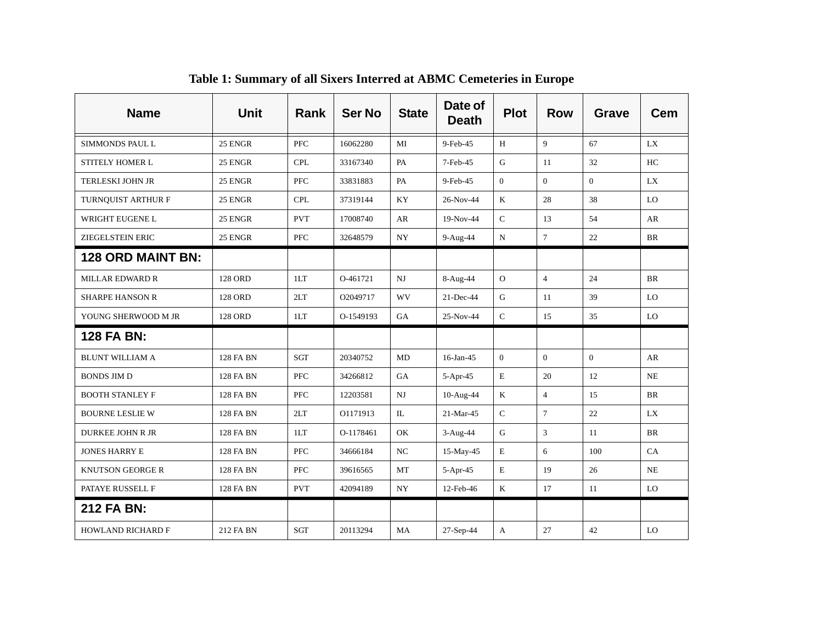| <b>Name</b>              | <b>Unit</b>      | Rank        | <b>Ser No</b> | <b>State</b> | Date of<br><b>Death</b> | <b>Plot</b>    | <b>Row</b>     | Grave          | <b>Cem</b> |
|--------------------------|------------------|-------------|---------------|--------------|-------------------------|----------------|----------------|----------------|------------|
| SIMMONDS PAUL L          | 25 ENGR          | <b>PFC</b>  | 16062280      | MI           | 9-Feb-45                | H              | 9              | 67             | LX         |
| STITELY HOMER L          | 25 ENGR          | <b>CPL</b>  | 33167340      | PA           | 7-Feb-45                | G              | 11             | 32             | HC         |
| <b>TERLESKI JOHN JR</b>  | 25 ENGR          | <b>PFC</b>  | 33831883      | PA           | 9-Feb-45                | $\overline{0}$ | $\Omega$       | $\overline{0}$ | LX         |
| TURNQUIST ARTHUR F       | 25 ENGR          | <b>CPL</b>  | 37319144      | KY           | 26-Nov-44               | $\rm K$        | 28             | 38             | LO         |
| WRIGHT EUGENE L          | 25 ENGR          | <b>PVT</b>  | 17008740      | AR           | 19-Nov-44               | $\mathsf{C}$   | 13             | 54             | AR         |
| <b>ZIEGELSTEIN ERIC</b>  | 25 ENGR          | <b>PFC</b>  | 32648579      | <b>NY</b>    | 9-Aug-44                | ${\bf N}$      | $\tau$         | 22             | <b>BR</b>  |
| <b>128 ORD MAINT BN:</b> |                  |             |               |              |                         |                |                |                |            |
| <b>MILLAR EDWARD R</b>   | <b>128 ORD</b>   | 1LT         | O-461721      | $_{\rm NJ}$  | 8-Aug-44                | ${\rm O}$      | $\overline{4}$ | 24             | <b>BR</b>  |
| <b>SHARPE HANSON R</b>   | 128 ORD          | 2LT         | O2049717      | WV           | $21$ -Dec-44            | G              | 11             | 39             | LO         |
| YOUNG SHERWOOD M JR      | <b>128 ORD</b>   | 1LT         | O-1549193     | GA           | 25-Nov-44               | $\mathsf{C}$   | 15             | 35             | LO         |
| 128 FA BN:               |                  |             |               |              |                         |                |                |                |            |
| <b>BLUNT WILLIAM A</b>   | 128 FA BN        | <b>SGT</b>  | 20340752      | <b>MD</b>    | 16-Jan-45               | $\overline{0}$ | $\overline{0}$ | $\Omega$       | AR         |
| <b>BONDS JIM D</b>       | 128 FA BN        | <b>PFC</b>  | 34266812      | GA           | 5-Apr-45                | E              | 20             | 12             | <b>NE</b>  |
| <b>BOOTH STANLEY F</b>   | <b>128 FA BN</b> | ${\rm PFC}$ | 12203581      | NJ           | 10-Aug-44               | $\bf K$        | $\overline{4}$ | 15             | <b>BR</b>  |
| <b>BOURNE LESLIE W</b>   | 128 FA BN        | 2LT         | O1171913      | $\rm IL$     | 21-Mar-45               | $\mathbf C$    | $\overline{7}$ | 22             | <b>LX</b>  |
| DURKEE JOHN R JR         | 128 FA BN        | 1LT         | O-1178461     | OK           | $3-Aug-44$              | ${\bf G}$      | 3              | 11             | <b>BR</b>  |
| <b>JONES HARRY E</b>     | 128 FA BN        | <b>PFC</b>  | 34666184      | NC           | $15$ -May-45            | E              | 6              | 100            | CA         |
| <b>KNUTSON GEORGE R</b>  | 128 FA BN        | <b>PFC</b>  | 39616565      | MT           | $5-Apr-45$              | $\mathbf E$    | 19             | 26             | <b>NE</b>  |
| PATAYE RUSSELL F         | 128 FA BN        | <b>PVT</b>  | 42094189      | <b>NY</b>    | 12-Feb-46               | K              | 17             | 11             | LO         |
| 212 FA BN:               |                  |             |               |              |                         |                |                |                |            |
| <b>HOWLAND RICHARD F</b> | 212 FA BN        | SGT         | 20113294      | MA           | 27-Sep-44               | A              | 27             | 42             | LO         |

**Table 1: Summary of all Sixers Interred at ABMC Cemeteries in Europe**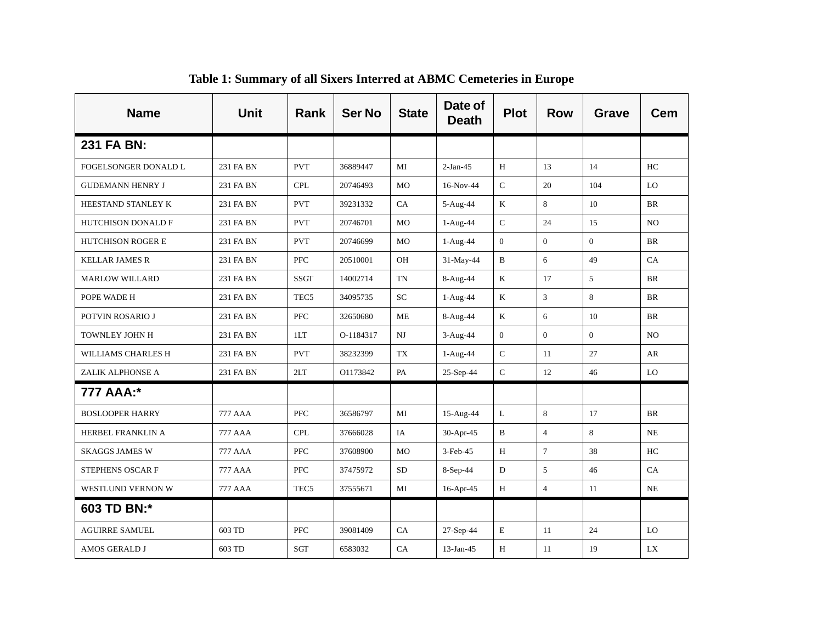| <b>Name</b>               | <b>Unit</b>    | <b>Rank</b>      | <b>Ser No</b> | <b>State</b> | Date of<br><b>Death</b> | <b>Plot</b>  | <b>Row</b>     | Grave          | <b>Cem</b>     |
|---------------------------|----------------|------------------|---------------|--------------|-------------------------|--------------|----------------|----------------|----------------|
| 231 FA BN:                |                |                  |               |              |                         |              |                |                |                |
| FOGELSONGER DONALD L      | 231 FA BN      | <b>PVT</b>       | 36889447      | MI           | $2-Jan-45$              | H            | 13             | 14             | HC             |
| <b>GUDEMANN HENRY J</b>   | 231 FA BN      | <b>CPL</b>       | 20746493      | MO           | $16-Nov-44$             | $\mathsf C$  | 20             | 104            | LO             |
| HEESTAND STANLEY K        | 231 FA BN      | <b>PVT</b>       | 39231332      | CA           | 5-Aug-44                | $\mathbf{K}$ | 8              | 10             | <b>BR</b>      |
| <b>HUTCHISON DONALD F</b> | 231 FA BN      | <b>PVT</b>       | 20746701      | <b>MO</b>    | $1-Aug-44$              | ${\bf C}$    | 24             | 15             | N <sub>O</sub> |
| <b>HUTCHISON ROGER E</b>  | 231 FA BN      | <b>PVT</b>       | 20746699      | <b>MO</b>    | $1-Aug-44$              | $\mathbf{0}$ | $\overline{0}$ | $\mathbf{0}$   | <b>BR</b>      |
| <b>KELLAR JAMES R</b>     | 231 FA BN      | <b>PFC</b>       | 20510001      | OH           | 31-May-44               | $\, {\bf B}$ | 6              | 49             | CA             |
| <b>MARLOW WILLARD</b>     | 231 FA BN      | <b>SSGT</b>      | 14002714      | <b>TN</b>    | 8-Aug-44                | K            | 17             | 5              | <b>BR</b>      |
| POPE WADE H               | 231 FA BN      | TEC <sub>5</sub> | 34095735      | SC           | $1-Aug-44$              | $\rm K$      | 3              | 8              | <b>BR</b>      |
| POTVIN ROSARIO J          | 231 FA BN      | <b>PFC</b>       | 32650680      | ME           | 8-Aug-44                | $\rm K$      | 6              | 10             | <b>BR</b>      |
| TOWNLEY JOHN H            | 231 FA BN      | 1LT              | O-1184317     | NJ           | $3-Aug-44$              | $\mathbf{0}$ | $\mathbf{0}$   | $\overline{0}$ | N <sub>O</sub> |
| WILLIAMS CHARLES H        | 231 FA BN      | <b>PVT</b>       | 38232399      | TX           | $1-Aug-44$              | $\mathsf C$  | 11             | 27             | AR             |
| ZALIK ALPHONSE A          | 231 FA BN      | 2LT              | O1173842      | PA           | 25-Sep-44               | $\mathsf C$  | 12             | 46             | LO             |
| 777 AAA:*                 |                |                  |               |              |                         |              |                |                |                |
| <b>BOSLOOPER HARRY</b>    | 777 AAA        | <b>PFC</b>       | 36586797      | MI           | 15-Aug-44               | L            | 8              | 17             | <b>BR</b>      |
| HERBEL FRANKLIN A         | 777 AAA        | <b>CPL</b>       | 37666028      | IA           | 30-Apr-45               | $\, {\bf B}$ | $\overline{4}$ | 8              | NE             |
| <b>SKAGGS JAMES W</b>     | 777 AAA        | <b>PFC</b>       | 37608900      | <b>MO</b>    | $3-Feb-45$              | H            | $\overline{7}$ | 38             | HC             |
| STEPHENS OSCAR F          | <b>777 AAA</b> | <b>PFC</b>       | 37475972      | <b>SD</b>    | 8-Sep-44                | D            | 5              | 46             | CA             |
| WESTLUND VERNON W         | <b>777 AAA</b> | TEC <sub>5</sub> | 37555671      | MI           | 16-Apr-45               | H            | $\overline{4}$ | 11             | <b>NE</b>      |
| 603 TD BN:*               |                |                  |               |              |                         |              |                |                |                |
| <b>AGUIRRE SAMUEL</b>     | 603 TD         | <b>PFC</b>       | 39081409      | CA           | 27-Sep-44               | $\mathbf E$  | 11             | 24             | LO             |
| AMOS GERALD J             | 603 TD         | SGT              | 6583032       | CA           | 13-Jan-45               | H            | 11             | 19             | LX             |

**Table 1: Summary of all Sixers Interred at ABMC Cemeteries in Europe**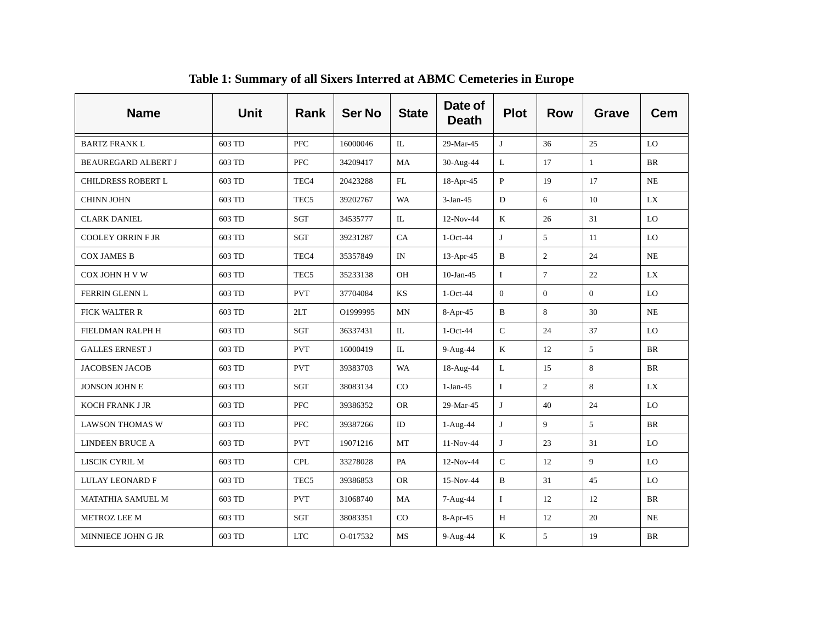| <b>Name</b>                | <b>Unit</b> | <b>Rank</b>      | <b>Ser No</b> | <b>State</b>             | Date of<br><b>Death</b> | <b>Plot</b>    | <b>Row</b>     | <b>Grave</b>   | <b>Cem</b> |
|----------------------------|-------------|------------------|---------------|--------------------------|-------------------------|----------------|----------------|----------------|------------|
| <b>BARTZ FRANK L</b>       | 603 TD      | <b>PFC</b>       | 16000046      | IL                       | 29-Mar-45               | J              | 36             | 25             | LO         |
| <b>BEAUREGARD ALBERT J</b> | 603 TD      | <b>PFC</b>       | 34209417      | MA                       | 30-Aug-44               | L              | 17             | 1              | <b>BR</b>  |
| <b>CHILDRESS ROBERT L</b>  | 603 TD      | TEC <sub>4</sub> | 20423288      | FL                       | 18-Apr-45               | $\mathbf{P}$   | 19             | 17             | NE         |
| <b>CHINN JOHN</b>          | 603 TD      | TEC <sub>5</sub> | 39202767      | <b>WA</b>                | $3-Jan-45$              | ${\bf D}$      | 6              | 10             | <b>LX</b>  |
| <b>CLARK DANIEL</b>        | 603 TD      | SGT              | 34535777      | IL                       | 12-Nov-44               | K              | 26             | 31             | LO         |
| <b>COOLEY ORRIN F JR</b>   | 603 TD      | SGT              | 39231287      | CA                       | $1-Oct-44$              | J              | 5              | 11             | LO         |
| <b>COX JAMES B</b>         | 603 TD      | TEC <sub>4</sub> | 35357849      | $\ensuremath{\text{IN}}$ | $13-Apr-45$             | $\, {\bf B}$   | $\mathbf{2}$   | 24             | NE         |
| COX JOHN H V W             | 603 TD      | TEC <sub>5</sub> | 35233138      | OH                       | $10$ -Jan-45            | $\bf{I}$       | $\tau$         | 22             | LX         |
| FERRIN GLENN L             | 603 TD      | <b>PVT</b>       | 37704084      | KS                       | $1-Oct-44$              | $\overline{0}$ | $\overline{0}$ | $\overline{0}$ | LO         |
| FICK WALTER R              | 603 TD      | 2LT              | O1999995      | <b>MN</b>                | 8-Apr-45                | $\mathbf B$    | 8              | 30             | <b>NE</b>  |
| FIELDMAN RALPH H           | 603 TD      | SGT              | 36337431      | IL                       | $1-Oct-44$              | ${\bf C}$      | 24             | 37             | LO         |
| <b>GALLES ERNEST J</b>     | 603 TD      | <b>PVT</b>       | 16000419      | IL                       | 9-Aug-44                | $\bf K$        | 12             | 5              | <b>BR</b>  |
| <b>JACOBSEN JACOB</b>      | 603 TD      | <b>PVT</b>       | 39383703      | <b>WA</b>                | 18-Aug-44               | L              | 15             | 8              | <b>BR</b>  |
| <b>JONSON JOHN E</b>       | 603 TD      | SGT              | 38083134      | $_{\rm CO}$              | $1-Jan-45$              | $\mathbf I$    | $\overline{c}$ | 8              | LX         |
| <b>KOCH FRANK J JR</b>     | 603 TD      | PFC              | 39386352      | <b>OR</b>                | 29-Mar-45               | J              | 40             | 24             | LO         |
| <b>LAWSON THOMAS W</b>     | 603 TD      | <b>PFC</b>       | 39387266      | ID                       | $1-Aug-44$              | J              | 9              | 5              | <b>BR</b>  |
| <b>LINDEEN BRUCE A</b>     | 603 TD      | <b>PVT</b>       | 19071216      | $\mathbf{MT}$            | 11-Nov-44               | J              | 23             | 31             | LO         |
| LISCIK CYRIL M             | 603 TD      | <b>CPL</b>       | 33278028      | PA                       | $12-Nov-44$             | $\mathsf C$    | 12             | 9              | LO         |
| <b>LULAY LEONARD F</b>     | 603 TD      | TEC <sub>5</sub> | 39386853      | <b>OR</b>                | 15-Nov-44               | $\, {\bf B}$   | 31             | 45             | LO         |
| <b>MATATHIA SAMUEL M</b>   | 603 TD      | <b>PVT</b>       | 31068740      | MA                       | 7-Aug-44                | $\bf{I}$       | 12             | 12             | <b>BR</b>  |
| METROZ LEE M               | 603 TD      | <b>SGT</b>       | 38083351      | CO                       | 8-Apr-45                | H              | 12             | 20             | <b>NE</b>  |
| MINNIECE JOHN G JR         | 603 TD      | <b>LTC</b>       | O-017532      | MS                       | 9-Aug-44                | K              | 5              | 19             | <b>BR</b>  |

**Table 1: Summary of all Sixers Interred at ABMC Cemeteries in Europe**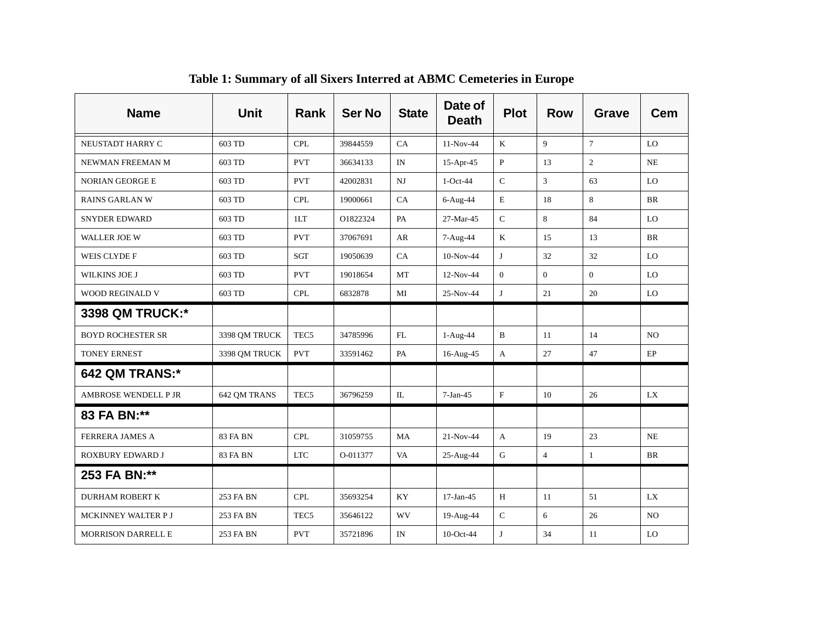| <b>Name</b>                 | Unit            | <b>Rank</b>      | <b>Ser No</b> | <b>State</b> | Date of<br><b>Death</b> | <b>Plot</b>    | <b>Row</b>     | Grave          | Cem            |
|-----------------------------|-----------------|------------------|---------------|--------------|-------------------------|----------------|----------------|----------------|----------------|
| NEUSTADT HARRY C            | 603 TD          | <b>CPL</b>       | 39844559      | CA           | $11-Nov-44$             | K              | 9              | $\tau$         | LO             |
| NEWMAN FREEMAN M            | 603 TD          | <b>PVT</b>       | 36634133      | IN           | $15-Apr-45$             | $\, {\bf P}$   | 13             | $\overline{c}$ | <b>NE</b>      |
| <b>NORIAN GEORGE E</b>      | 603 TD          | <b>PVT</b>       | 42002831      | NJ           | $1-Oct-44$              | $\mathsf{C}$   | 3              | 63             | LO             |
| <b>RAINS GARLAN W</b>       | 603 TD          | <b>CPL</b>       | 19000661      | CA           | 6-Aug-44                | $\mathbf E$    | 18             | 8              | <b>BR</b>      |
| <b>SNYDER EDWARD</b>        | 603 TD          | 1LT              | O1822324      | PA           | 27-Mar-45               | $\mathsf C$    | 8              | 84             | LO             |
| <b>WALLER JOE W</b>         | 603 TD          | <b>PVT</b>       | 37067691      | AR           | 7-Aug-44                | $\mathbf K$    | 15             | 13             | <b>BR</b>      |
| <b>WEIS CLYDE F</b>         | 603 TD          | SGT              | 19050639      | CA           | 10-Nov-44               | J              | 32             | 32             | LO             |
| WILKINS JOE J               | 603 TD          | <b>PVT</b>       | 19018654      | MT           | 12-Nov-44               | $\overline{0}$ | $\overline{0}$ | $\Omega$       | LO             |
| <b>WOOD REGINALD V</b>      | 603 TD          | <b>CPL</b>       | 6832878       | MI           | 25-Nov-44               | J              | 21             | 20             | LO             |
| 3398 QM TRUCK:*             |                 |                  |               |              |                         |                |                |                |                |
| <b>BOYD ROCHESTER SR</b>    | 3398 QM TRUCK   | TEC <sub>5</sub> | 34785996      | FL           | $1-Aug-44$              | B              | 11             | 14             | N <sub>O</sub> |
| <b>TONEY ERNEST</b>         | 3398 QM TRUCK   | <b>PVT</b>       | 33591462      | PA           | 16-Aug-45               | A              | 27             | 47             | EP             |
| <b>642 QM TRANS:*</b>       |                 |                  |               |              |                         |                |                |                |                |
| <b>AMBROSE WENDELL P JR</b> | 642 OM TRANS    | TEC <sub>5</sub> | 36796259      | IL           | $7-Jan-45$              | $\rm F$        | 10             | 26             | LX             |
| 83 FA BN:**                 |                 |                  |               |              |                         |                |                |                |                |
| <b>FERRERA JAMES A</b>      | <b>83 FA BN</b> | <b>CPL</b>       | 31059755      | MA           | $21-Nov-44$             | A              | 19             | 23             | <b>NE</b>      |
| ROXBURY EDWARD J            | 83 FA BN        | <b>LTC</b>       | O-011377      | VA           | 25-Aug-44               | G              | $\overline{4}$ | $\mathbf{1}$   | BR             |
| 253 FA BN:**                |                 |                  |               |              |                         |                |                |                |                |
| DURHAM ROBERT K             | 253 FA BN       | <b>CPL</b>       | 35693254      | KY           | $17-Jan-45$             | $\, {\rm H}$   | 11             | 51             | <b>LX</b>      |
| MCKINNEY WALTER P J         | 253 FA BN       | TEC <sub>5</sub> | 35646122      | WV           | 19-Aug-44               | $\mathsf{C}$   | 6              | 26             | NO.            |
| <b>MORRISON DARRELL E</b>   | 253 FA BN       | <b>PVT</b>       | 35721896      | IN           | 10-Oct-44               | J              | 34             | 11             | LO             |

**Table 1: Summary of all Sixers Interred at ABMC Cemeteries in Europe**